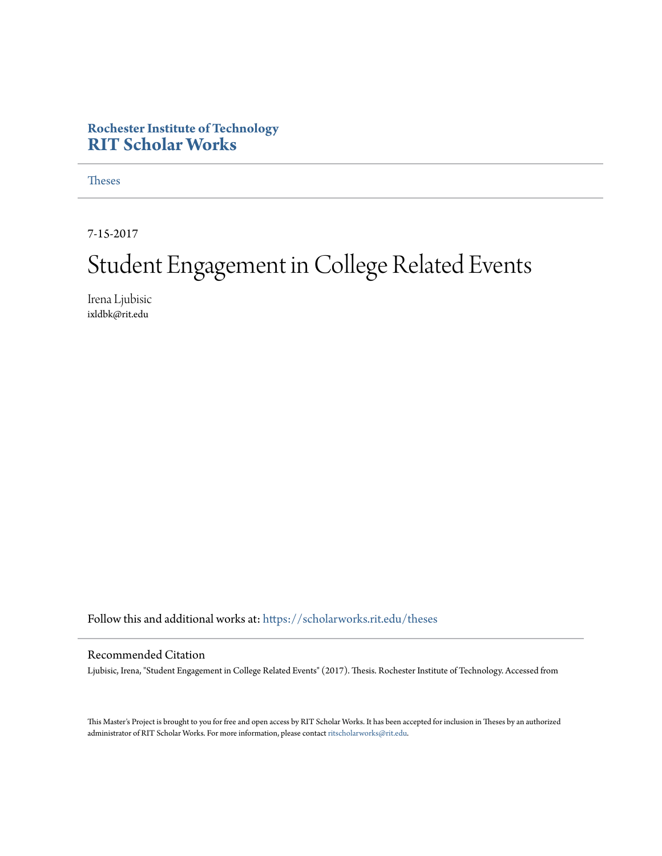#### **Rochester Institute of Technology [RIT Scholar Works](https://scholarworks.rit.edu?utm_source=scholarworks.rit.edu%2Ftheses%2F10030&utm_medium=PDF&utm_campaign=PDFCoverPages)**

[Theses](https://scholarworks.rit.edu/theses?utm_source=scholarworks.rit.edu%2Ftheses%2F10030&utm_medium=PDF&utm_campaign=PDFCoverPages)

7-15-2017

## Student Engagement in College Related Events

Irena Ljubisic ixldbk@rit.edu

Follow this and additional works at: [https://scholarworks.rit.edu/theses](https://scholarworks.rit.edu/theses?utm_source=scholarworks.rit.edu%2Ftheses%2F10030&utm_medium=PDF&utm_campaign=PDFCoverPages)

#### Recommended Citation

Ljubisic, Irena, "Student Engagement in College Related Events" (2017). Thesis. Rochester Institute of Technology. Accessed from

This Master's Project is brought to you for free and open access by RIT Scholar Works. It has been accepted for inclusion in Theses by an authorized administrator of RIT Scholar Works. For more information, please contact [ritscholarworks@rit.edu.](mailto:ritscholarworks@rit.edu)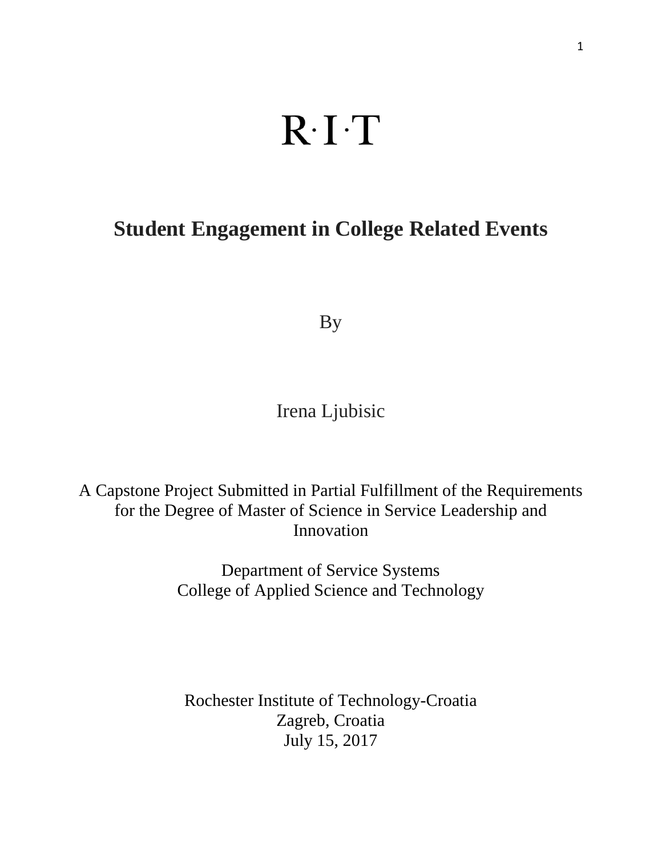# $R \cdot I \cdot T$

## **Student Engagement in College Related Events**

By

Irena Ljubisic

A Capstone Project Submitted in Partial Fulfillment of the Requirements for the Degree of Master of Science in Service Leadership and Innovation

> Department of Service Systems College of Applied Science and Technology

Rochester Institute of Technology-Croatia Zagreb, Croatia July 15, 2017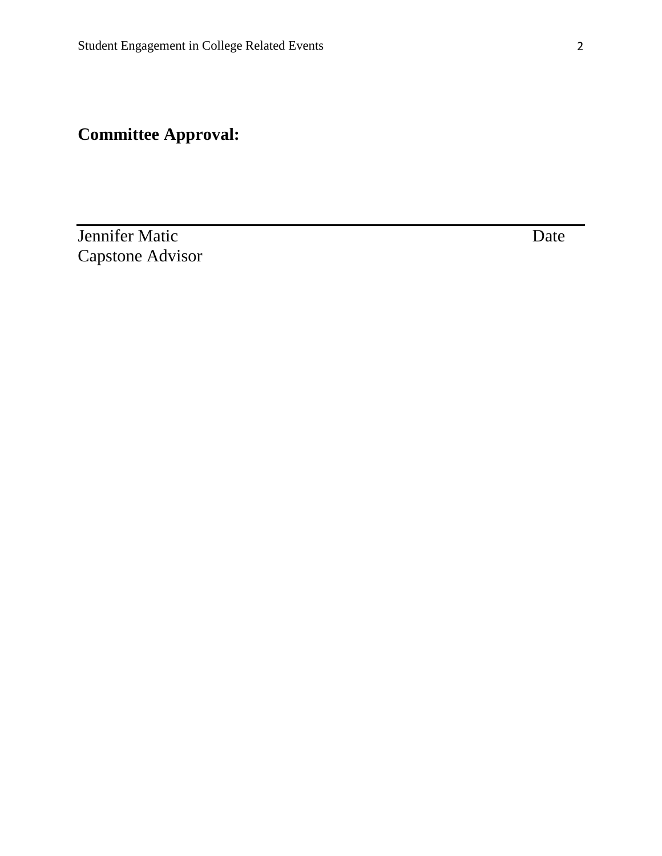## **Committee Approval:**

**Jennifer Matic** Date Date Capstone Advisor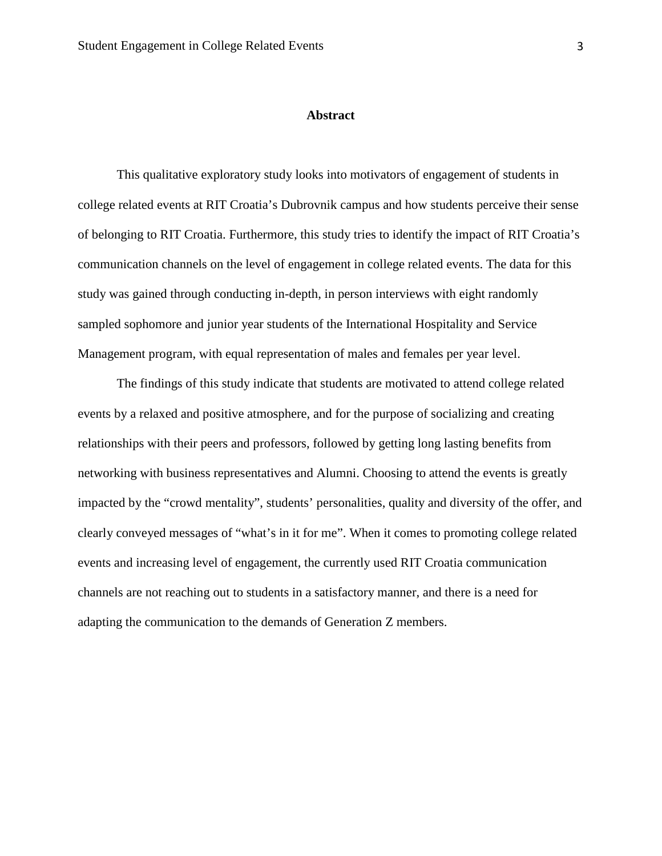#### **Abstract**

This qualitative exploratory study looks into motivators of engagement of students in college related events at RIT Croatia's Dubrovnik campus and how students perceive their sense of belonging to RIT Croatia. Furthermore, this study tries to identify the impact of RIT Croatia's communication channels on the level of engagement in college related events. The data for this study was gained through conducting in-depth, in person interviews with eight randomly sampled sophomore and junior year students of the International Hospitality and Service Management program, with equal representation of males and females per year level.

The findings of this study indicate that students are motivated to attend college related events by a relaxed and positive atmosphere, and for the purpose of socializing and creating relationships with their peers and professors, followed by getting long lasting benefits from networking with business representatives and Alumni. Choosing to attend the events is greatly impacted by the "crowd mentality", students' personalities, quality and diversity of the offer, and clearly conveyed messages of "what's in it for me". When it comes to promoting college related events and increasing level of engagement, the currently used RIT Croatia communication channels are not reaching out to students in a satisfactory manner, and there is a need for adapting the communication to the demands of Generation Z members.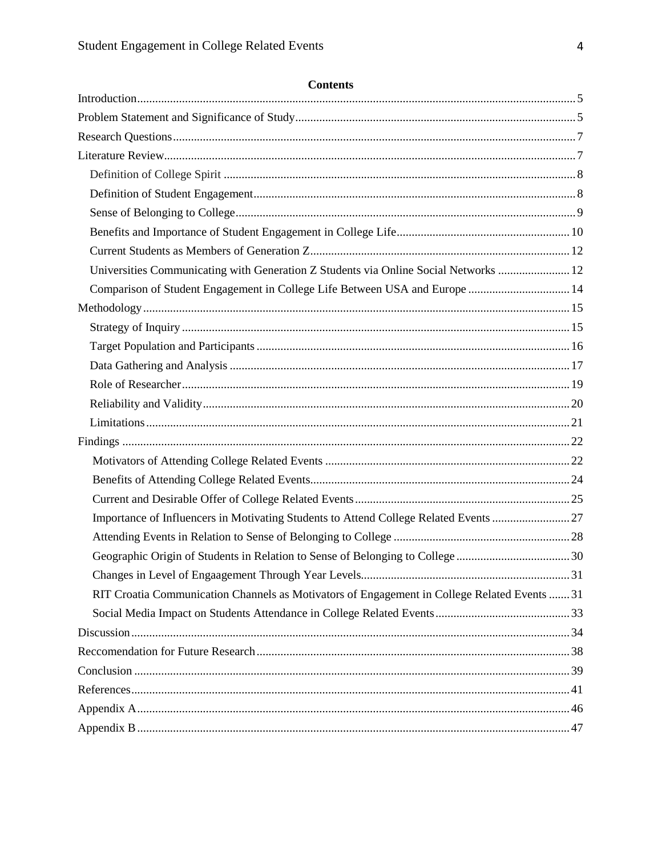| Universities Communicating with Generation Z Students via Online Social Networks  12         |  |
|----------------------------------------------------------------------------------------------|--|
| Comparison of Student Engagement in College Life Between USA and Europe  14                  |  |
|                                                                                              |  |
|                                                                                              |  |
|                                                                                              |  |
|                                                                                              |  |
|                                                                                              |  |
|                                                                                              |  |
|                                                                                              |  |
|                                                                                              |  |
|                                                                                              |  |
|                                                                                              |  |
|                                                                                              |  |
| Importance of Influencers in Motivating Students to Attend College Related Events 27         |  |
|                                                                                              |  |
|                                                                                              |  |
|                                                                                              |  |
| RIT Croatia Communication Channels as Motivators of Engagement in College Related Events  31 |  |
|                                                                                              |  |
|                                                                                              |  |
|                                                                                              |  |
|                                                                                              |  |
|                                                                                              |  |
|                                                                                              |  |
|                                                                                              |  |

#### **Contents**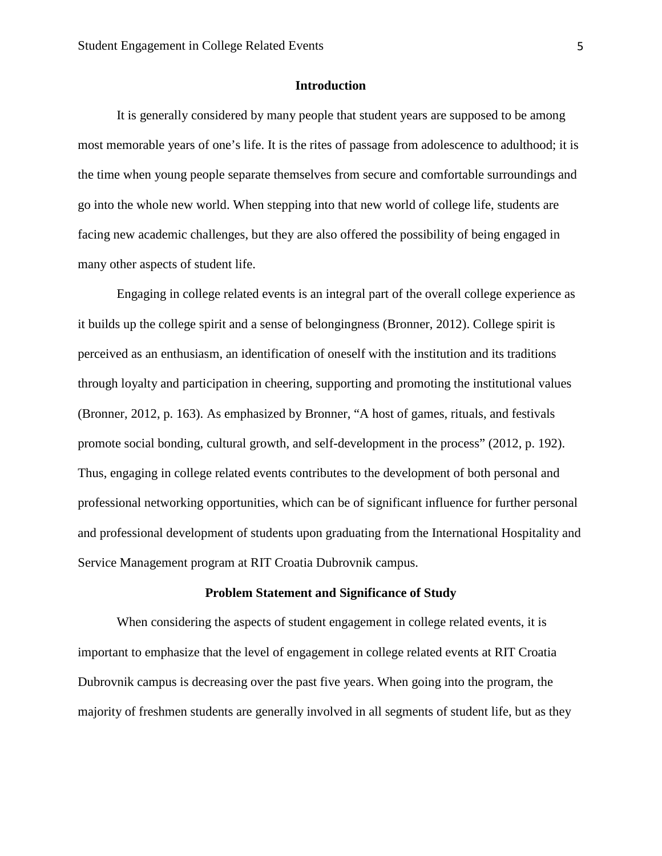#### **Introduction**

It is generally considered by many people that student years are supposed to be among most memorable years of one's life. It is the rites of passage from adolescence to adulthood; it is the time when young people separate themselves from secure and comfortable surroundings and go into the whole new world. When stepping into that new world of college life, students are facing new academic challenges, but they are also offered the possibility of being engaged in many other aspects of student life.

Engaging in college related events is an integral part of the overall college experience as it builds up the college spirit and a sense of belongingness (Bronner, 2012). College spirit is perceived as an enthusiasm, an identification of oneself with the institution and its traditions through loyalty and participation in cheering, supporting and promoting the institutional values (Bronner, 2012, p. 163). As emphasized by Bronner, "A host of games, rituals, and festivals promote social bonding, cultural growth, and self-development in the process" (2012, p. 192). Thus, engaging in college related events contributes to the development of both personal and professional networking opportunities, which can be of significant influence for further personal and professional development of students upon graduating from the International Hospitality and Service Management program at RIT Croatia Dubrovnik campus.

#### **Problem Statement and Significance of Study**

When considering the aspects of student engagement in college related events, it is important to emphasize that the level of engagement in college related events at RIT Croatia Dubrovnik campus is decreasing over the past five years. When going into the program, the majority of freshmen students are generally involved in all segments of student life, but as they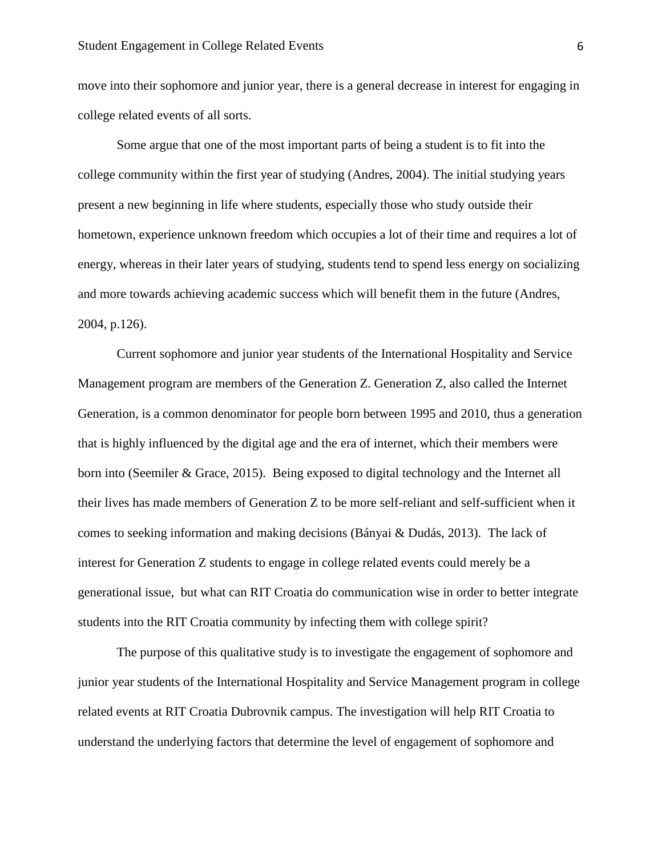move into their sophomore and junior year, there is a general decrease in interest for engaging in college related events of all sorts.

Some argue that one of the most important parts of being a student is to fit into the college community within the first year of studying (Andres, 2004). The initial studying years present a new beginning in life where students, especially those who study outside their hometown, experience unknown freedom which occupies a lot of their time and requires a lot of energy, whereas in their later years of studying, students tend to spend less energy on socializing and more towards achieving academic success which will benefit them in the future (Andres, 2004, p.126).

Current sophomore and junior year students of the International Hospitality and Service Management program are members of the Generation Z. Generation Z, also called the Internet Generation, is a common denominator for people born between 1995 and 2010, thus a generation that is highly influenced by the digital age and the era of internet, which their members were born into (Seemiler & Grace, 2015). Being exposed to digital technology and the Internet all their lives has made members of Generation Z to be more self-reliant and self-sufficient when it comes to seeking information and making decisions (Bányai & Dudás, 2013). The lack of interest for Generation Z students to engage in college related events could merely be a generational issue, but what can RIT Croatia do communication wise in order to better integrate students into the RIT Croatia community by infecting them with college spirit?

The purpose of this qualitative study is to investigate the engagement of sophomore and junior year students of the International Hospitality and Service Management program in college related events at RIT Croatia Dubrovnik campus. The investigation will help RIT Croatia to understand the underlying factors that determine the level of engagement of sophomore and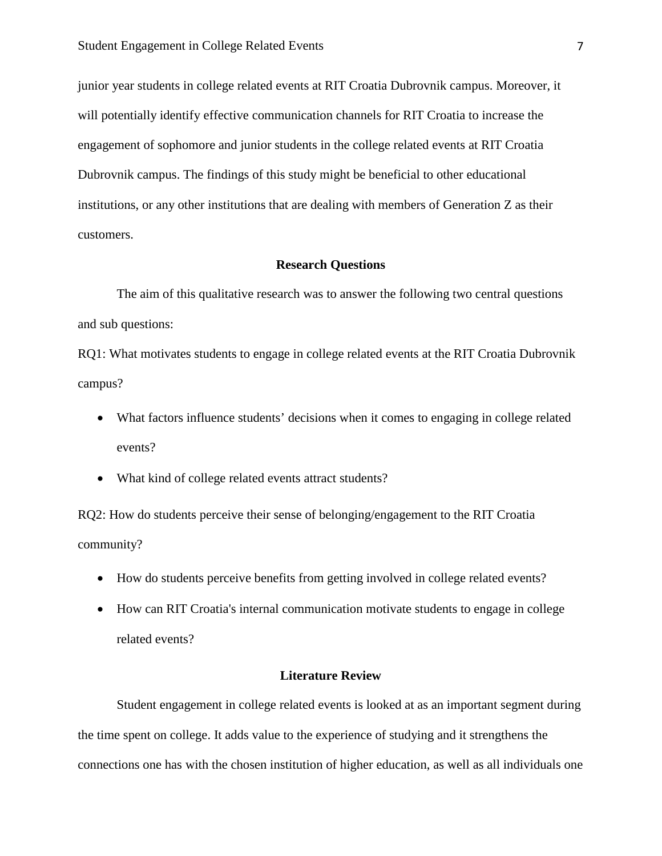junior year students in college related events at RIT Croatia Dubrovnik campus. Moreover, it will potentially identify effective communication channels for RIT Croatia to increase the engagement of sophomore and junior students in the college related events at RIT Croatia Dubrovnik campus. The findings of this study might be beneficial to other educational institutions, or any other institutions that are dealing with members of Generation Z as their customers.

#### **Research Questions**

The aim of this qualitative research was to answer the following two central questions and sub questions:

RQ1: What motivates students to engage in college related events at the RIT Croatia Dubrovnik campus?

- What factors influence students' decisions when it comes to engaging in college related events?
- What kind of college related events attract students?

RQ2: How do students perceive their sense of belonging/engagement to the RIT Croatia community?

- How do students perceive benefits from getting involved in college related events?
- How can RIT Croatia's internal communication motivate students to engage in college related events?

#### **Literature Review**

Student engagement in college related events is looked at as an important segment during the time spent on college. It adds value to the experience of studying and it strengthens the connections one has with the chosen institution of higher education, as well as all individuals one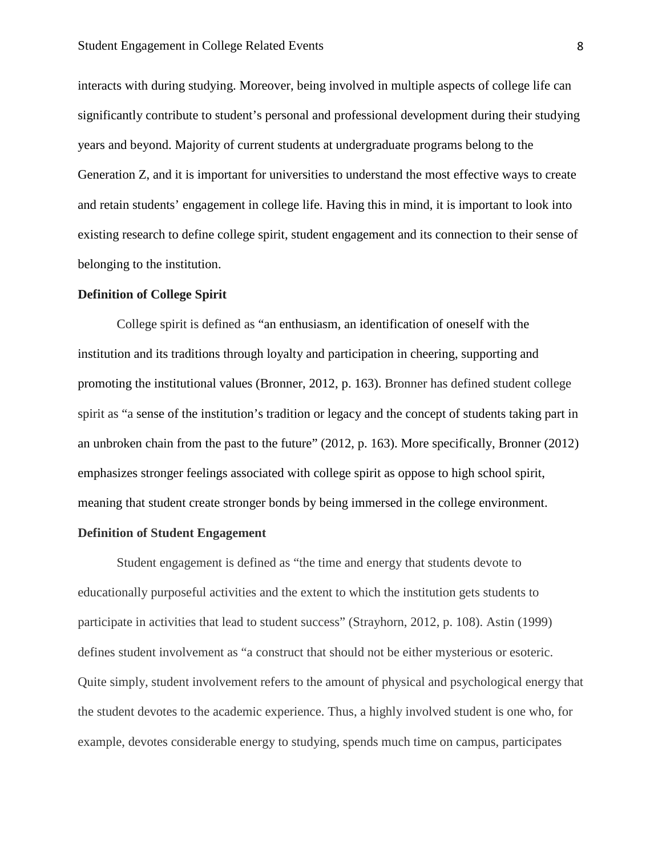interacts with during studying. Moreover, being involved in multiple aspects of college life can significantly contribute to student's personal and professional development during their studying years and beyond. Majority of current students at undergraduate programs belong to the Generation Z, and it is important for universities to understand the most effective ways to create and retain students' engagement in college life. Having this in mind, it is important to look into existing research to define college spirit, student engagement and its connection to their sense of belonging to the institution.

#### **Definition of College Spirit**

College spirit is defined as "an enthusiasm, an identification of oneself with the institution and its traditions through loyalty and participation in cheering, supporting and promoting the institutional values (Bronner, 2012, p. 163). Bronner has defined student college spirit as "a sense of the institution's tradition or legacy and the concept of students taking part in an unbroken chain from the past to the future" (2012, p. 163). More specifically, Bronner (2012) emphasizes stronger feelings associated with college spirit as oppose to high school spirit, meaning that student create stronger bonds by being immersed in the college environment.

#### **Definition of Student Engagement**

Student engagement is defined as "the time and energy that students devote to educationally purposeful activities and the extent to which the institution gets students to participate in activities that lead to student success" (Strayhorn, 2012, p. 108). Astin (1999) defines student involvement as "a construct that should not be either mysterious or esoteric. Quite simply, student involvement refers to the amount of physical and psychological energy that the student devotes to the academic experience. Thus, a highly involved student is one who, for example, devotes considerable energy to studying, spends much time on campus, participates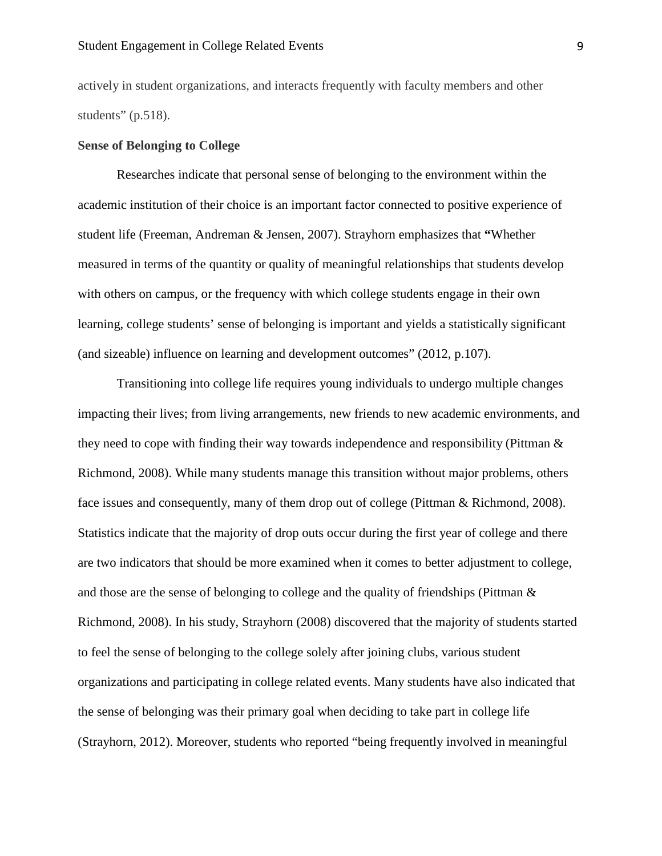actively in student organizations, and interacts frequently with faculty members and other students" (p.518).

#### **Sense of Belonging to College**

Researches indicate that personal sense of belonging to the environment within the academic institution of their choice is an important factor connected to positive experience of student life (Freeman, Andreman & Jensen, 2007). Strayhorn emphasizes that **"**Whether measured in terms of the quantity or quality of meaningful relationships that students develop with others on campus, or the frequency with which college students engage in their own learning, college students' sense of belonging is important and yields a statistically significant (and sizeable) influence on learning and development outcomes" (2012, p.107).

Transitioning into college life requires young individuals to undergo multiple changes impacting their lives; from living arrangements, new friends to new academic environments, and they need to cope with finding their way towards independence and responsibility (Pittman & Richmond, 2008). While many students manage this transition without major problems, others face issues and consequently, many of them drop out of college (Pittman & Richmond, 2008). Statistics indicate that the majority of drop outs occur during the first year of college and there are two indicators that should be more examined when it comes to better adjustment to college, and those are the sense of belonging to college and the quality of friendships (Pittman & Richmond, 2008). In his study, Strayhorn (2008) discovered that the majority of students started to feel the sense of belonging to the college solely after joining clubs, various student organizations and participating in college related events. Many students have also indicated that the sense of belonging was their primary goal when deciding to take part in college life (Strayhorn, 2012). Moreover, students who reported "being frequently involved in meaningful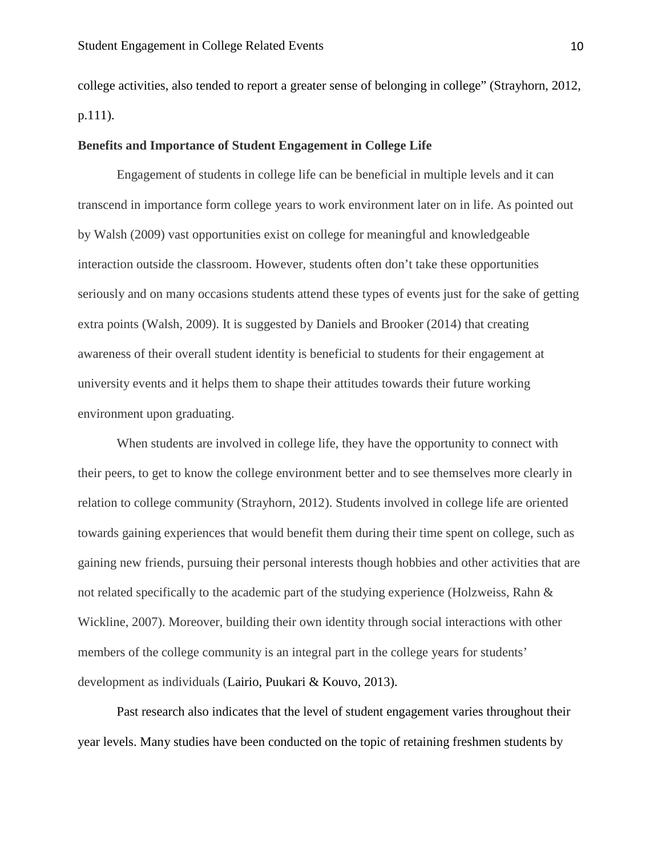college activities, also tended to report a greater sense of belonging in college" (Strayhorn, 2012, p.111).

#### **Benefits and Importance of Student Engagement in College Life**

Engagement of students in college life can be beneficial in multiple levels and it can transcend in importance form college years to work environment later on in life. As pointed out by Walsh (2009) vast opportunities exist on college for meaningful and knowledgeable interaction outside the classroom. However, students often don't take these opportunities seriously and on many occasions students attend these types of events just for the sake of getting extra points (Walsh, 2009). It is suggested by Daniels and Brooker (2014) that creating awareness of their overall student identity is beneficial to students for their engagement at university events and it helps them to shape their attitudes towards their future working environment upon graduating.

When students are involved in college life, they have the opportunity to connect with their peers, to get to know the college environment better and to see themselves more clearly in relation to college community (Strayhorn, 2012). Students involved in college life are oriented towards gaining experiences that would benefit them during their time spent on college, such as gaining new friends, pursuing their personal interests though hobbies and other activities that are not related specifically to the academic part of the studying experience (Holzweiss, Rahn & Wickline, 2007). Moreover, building their own identity through social interactions with other members of the college community is an integral part in the college years for students' development as individuals (Lairio, Puukari & Kouvo, 2013).

Past research also indicates that the level of student engagement varies throughout their year levels. Many studies have been conducted on the topic of retaining freshmen students by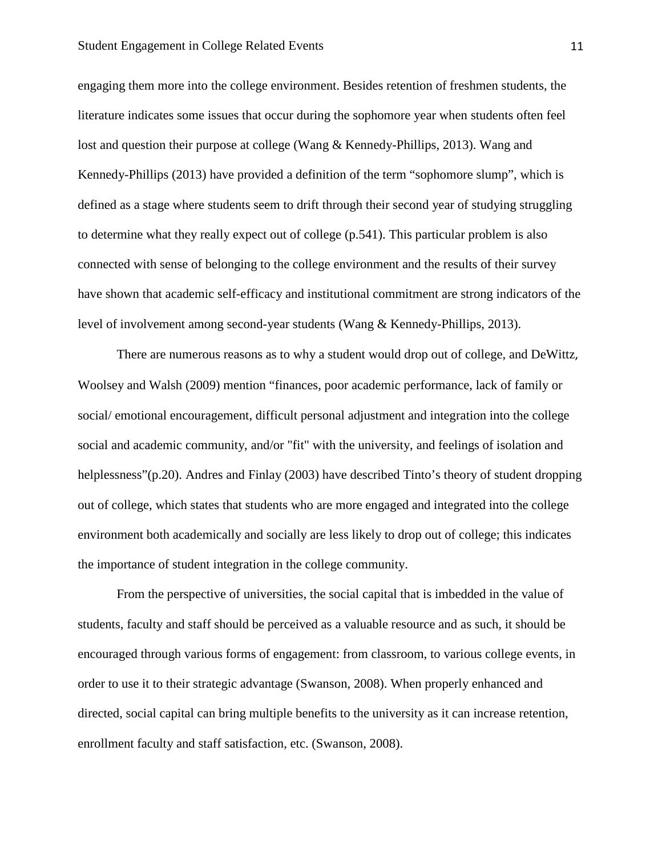engaging them more into the college environment. Besides retention of freshmen students, the literature indicates some issues that occur during the sophomore year when students often feel lost and question their purpose at college (Wang & Kennedy-Phillips, 2013). Wang and Kennedy-Phillips (2013) have provided a definition of the term "sophomore slump", which is defined as a stage where students seem to drift through their second year of studying struggling to determine what they really expect out of college (p.541). This particular problem is also connected with sense of belonging to the college environment and the results of their survey have shown that academic self-efficacy and institutional commitment are strong indicators of the level of involvement among second-year students (Wang & Kennedy-Phillips, 2013).

There are numerous reasons as to why a student would drop out of college, and DeWittz, Woolsey and Walsh (2009) mention "finances, poor academic performance, lack of family or social/ emotional encouragement, difficult personal adjustment and integration into the college social and academic community, and/or "fit" with the university, and feelings of isolation and helplessness"(p.20). Andres and Finlay (2003) have described Tinto's theory of student dropping out of college, which states that students who are more engaged and integrated into the college environment both academically and socially are less likely to drop out of college; this indicates the importance of student integration in the college community.

From the perspective of universities, the social capital that is imbedded in the value of students, faculty and staff should be perceived as a valuable resource and as such, it should be encouraged through various forms of engagement: from classroom, to various college events, in order to use it to their strategic advantage (Swanson, 2008). When properly enhanced and directed, social capital can bring multiple benefits to the university as it can increase retention, enrollment faculty and staff satisfaction, etc. (Swanson, 2008).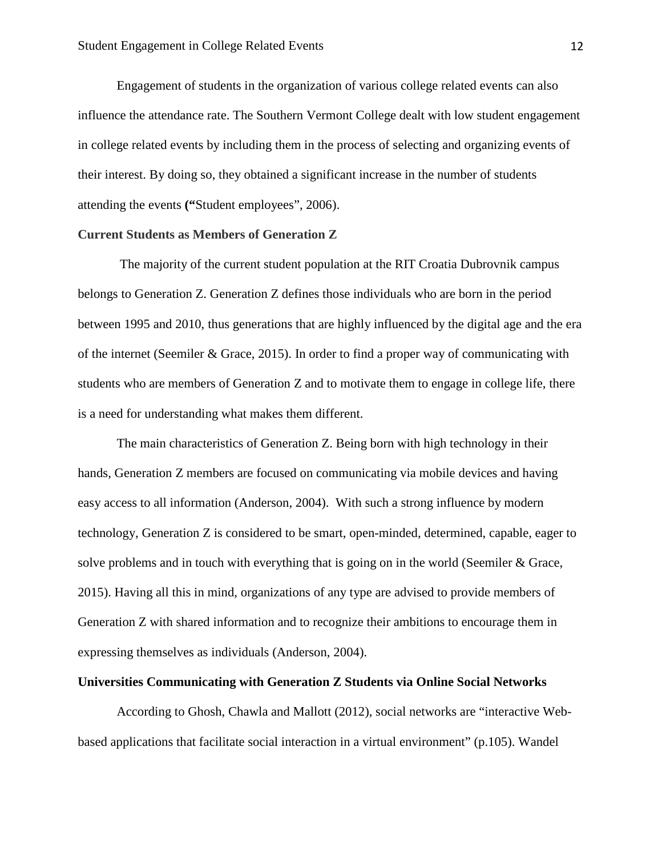Engagement of students in the organization of various college related events can also influence the attendance rate. The Southern Vermont College dealt with low student engagement in college related events by including them in the process of selecting and organizing events of their interest. By doing so, they obtained a significant increase in the number of students attending the events **("**Student employees", 2006).

#### **Current Students as Members of Generation Z**

The majority of the current student population at the RIT Croatia Dubrovnik campus belongs to Generation Z. Generation Z defines those individuals who are born in the period between 1995 and 2010, thus generations that are highly influenced by the digital age and the era of the internet (Seemiler & Grace, 2015). In order to find a proper way of communicating with students who are members of Generation Z and to motivate them to engage in college life, there is a need for understanding what makes them different.

The main characteristics of Generation Z. Being born with high technology in their hands, Generation Z members are focused on communicating via mobile devices and having easy access to all information (Anderson, 2004). With such a strong influence by modern technology, Generation Z is considered to be smart, open-minded, determined, capable, eager to solve problems and in touch with everything that is going on in the world (Seemiler & Grace, 2015). Having all this in mind, organizations of any type are advised to provide members of Generation Z with shared information and to recognize their ambitions to encourage them in expressing themselves as individuals (Anderson, 2004).

#### **Universities Communicating with Generation Z Students via Online Social Networks**

According to Ghosh, Chawla and Mallott (2012), social networks are "interactive Webbased applications that facilitate social interaction in a virtual environment" (p.105). Wandel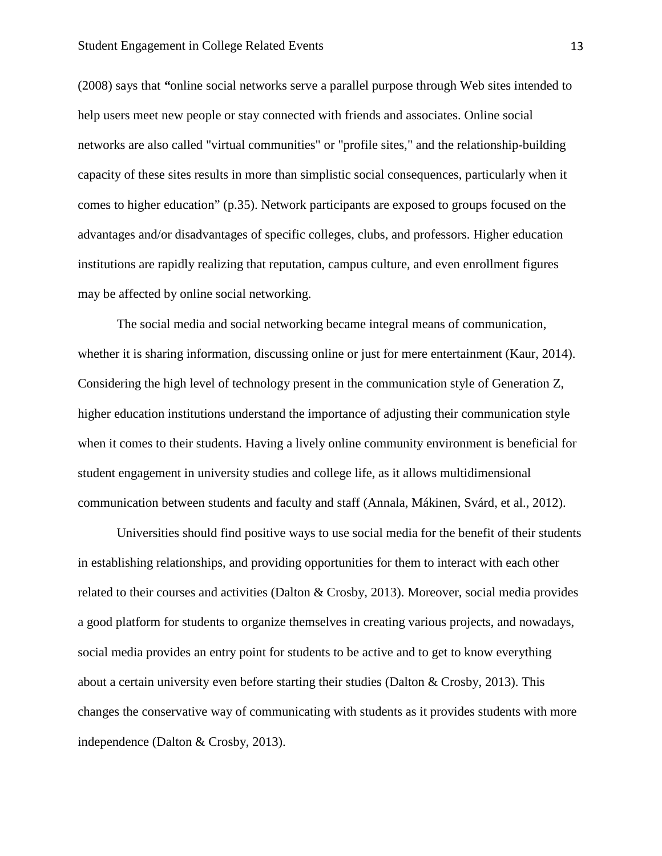(2008) says that *"*online social networks serve a parallel purpose through Web sites intended to help users meet new people or stay connected with friends and associates. Online social networks are also called "virtual communities" or "profile sites," and the relationship-building capacity of these sites results in more than simplistic social consequences, particularly when it comes to higher education" (p.35). Network participants are exposed to groups focused on the advantages and/or disadvantages of specific colleges, clubs, and professors. Higher education institutions are rapidly realizing that reputation, campus culture, and even enrollment figures may be affected by online social networking.

The social media and social networking became integral means of communication, whether it is sharing information, discussing online or just for mere entertainment (Kaur, 2014). Considering the high level of technology present in the communication style of Generation Z, higher education institutions understand the importance of adjusting their communication style when it comes to their students. Having a lively online community environment is beneficial for student engagement in university studies and college life, as it allows multidimensional communication between students and faculty and staff (Annala, Mákinen, Svárd, et al., 2012).

Universities should find positive ways to use social media for the benefit of their students in establishing relationships, and providing opportunities for them to interact with each other related to their courses and activities (Dalton & Crosby, 2013). Moreover, social media provides a good platform for students to organize themselves in creating various projects, and nowadays, social media provides an entry point for students to be active and to get to know everything about a certain university even before starting their studies (Dalton  $\&$  Crosby, 2013). This changes the conservative way of communicating with students as it provides students with more independence (Dalton & Crosby, 2013).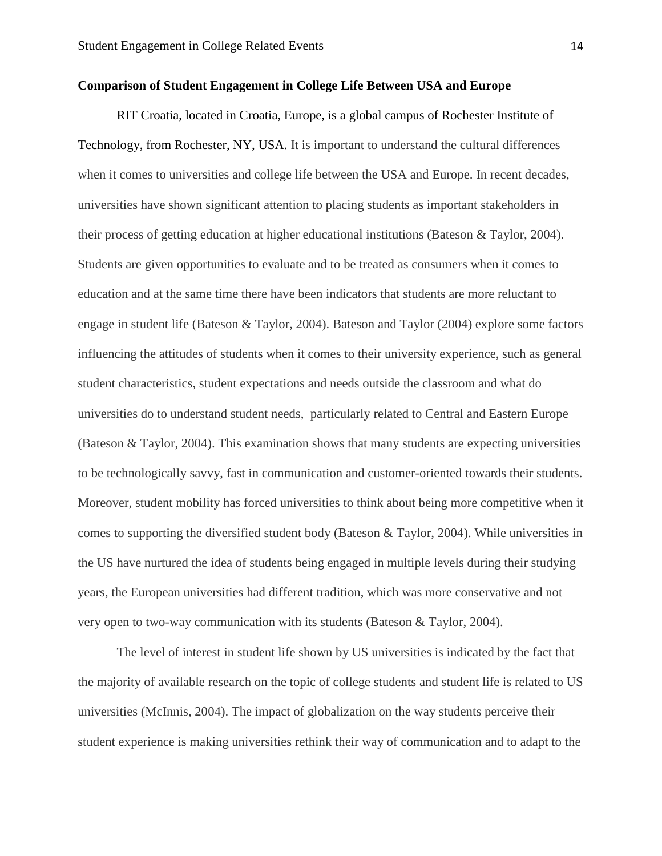#### **Comparison of Student Engagement in College Life Between USA and Europe**

RIT Croatia, located in Croatia, Europe, is a global campus of Rochester Institute of Technology, from Rochester, NY, USA. It is important to understand the cultural differences when it comes to universities and college life between the USA and Europe. In recent decades, universities have shown significant attention to placing students as important stakeholders in their process of getting education at higher educational institutions (Bateson & Taylor, 2004). Students are given opportunities to evaluate and to be treated as consumers when it comes to education and at the same time there have been indicators that students are more reluctant to engage in student life (Bateson & Taylor, 2004). Bateson and Taylor (2004) explore some factors influencing the attitudes of students when it comes to their university experience, such as general student characteristics, student expectations and needs outside the classroom and what do universities do to understand student needs, particularly related to Central and Eastern Europe (Bateson & Taylor, 2004). This examination shows that many students are expecting universities to be technologically savvy, fast in communication and customer-oriented towards their students. Moreover, student mobility has forced universities to think about being more competitive when it comes to supporting the diversified student body (Bateson & Taylor, 2004). While universities in the US have nurtured the idea of students being engaged in multiple levels during their studying years, the European universities had different tradition, which was more conservative and not very open to two-way communication with its students (Bateson & Taylor, 2004).

The level of interest in student life shown by US universities is indicated by the fact that the majority of available research on the topic of college students and student life is related to US universities (McInnis, 2004). The impact of globalization on the way students perceive their student experience is making universities rethink their way of communication and to adapt to the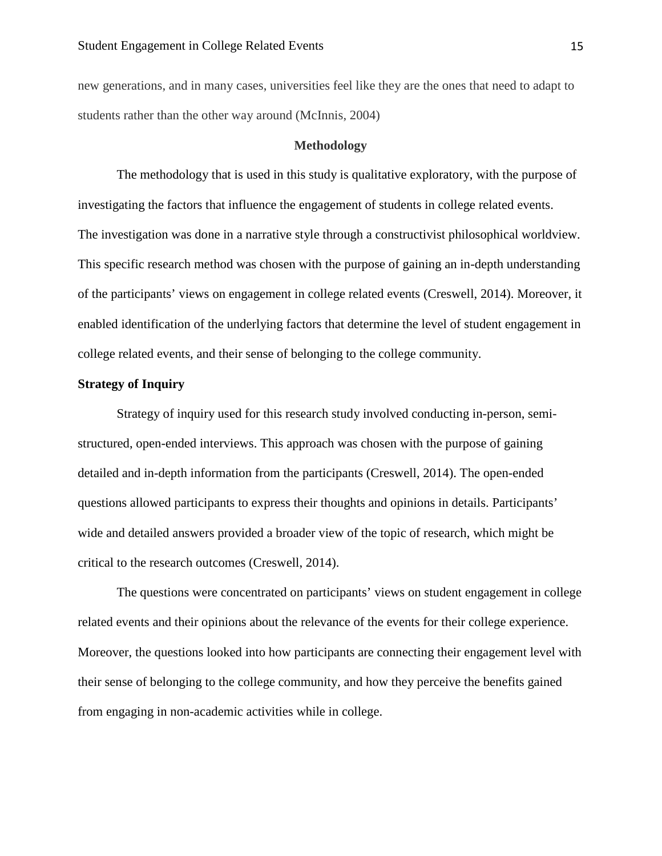new generations, and in many cases, universities feel like they are the ones that need to adapt to students rather than the other way around (McInnis, 2004)

#### **Methodology**

The methodology that is used in this study is qualitative exploratory, with the purpose of investigating the factors that influence the engagement of students in college related events. The investigation was done in a narrative style through a constructivist philosophical worldview. This specific research method was chosen with the purpose of gaining an in-depth understanding of the participants' views on engagement in college related events (Creswell, 2014). Moreover, it enabled identification of the underlying factors that determine the level of student engagement in college related events, and their sense of belonging to the college community.

#### **Strategy of Inquiry**

Strategy of inquiry used for this research study involved conducting in-person, semistructured, open-ended interviews. This approach was chosen with the purpose of gaining detailed and in-depth information from the participants (Creswell, 2014). The open-ended questions allowed participants to express their thoughts and opinions in details. Participants' wide and detailed answers provided a broader view of the topic of research, which might be critical to the research outcomes (Creswell, 2014).

The questions were concentrated on participants' views on student engagement in college related events and their opinions about the relevance of the events for their college experience. Moreover, the questions looked into how participants are connecting their engagement level with their sense of belonging to the college community, and how they perceive the benefits gained from engaging in non-academic activities while in college.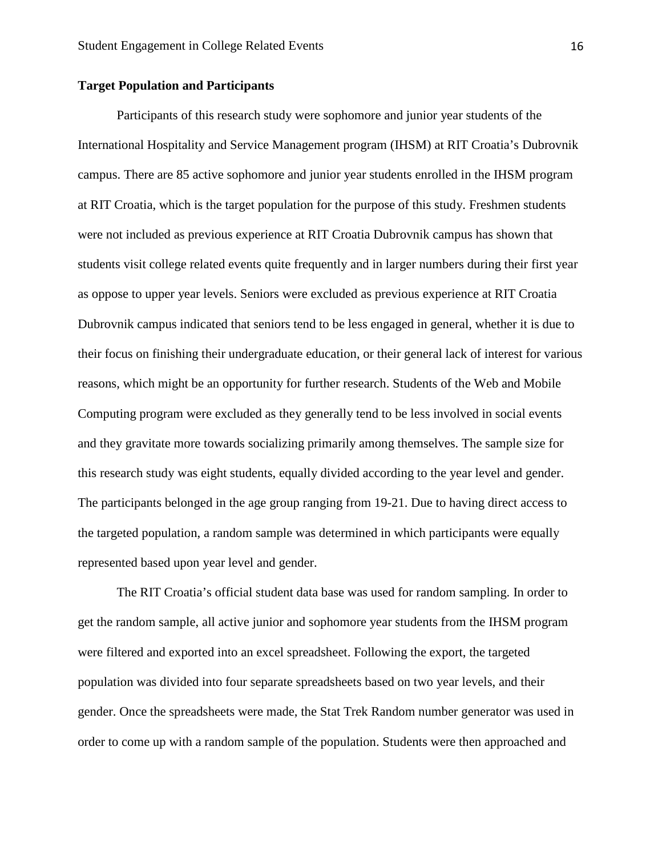#### **Target Population and Participants**

Participants of this research study were sophomore and junior year students of the International Hospitality and Service Management program (IHSM) at RIT Croatia's Dubrovnik campus. There are 85 active sophomore and junior year students enrolled in the IHSM program at RIT Croatia, which is the target population for the purpose of this study. Freshmen students were not included as previous experience at RIT Croatia Dubrovnik campus has shown that students visit college related events quite frequently and in larger numbers during their first year as oppose to upper year levels. Seniors were excluded as previous experience at RIT Croatia Dubrovnik campus indicated that seniors tend to be less engaged in general, whether it is due to their focus on finishing their undergraduate education, or their general lack of interest for various reasons, which might be an opportunity for further research. Students of the Web and Mobile Computing program were excluded as they generally tend to be less involved in social events and they gravitate more towards socializing primarily among themselves. The sample size for this research study was eight students, equally divided according to the year level and gender. The participants belonged in the age group ranging from 19-21. Due to having direct access to the targeted population, a random sample was determined in which participants were equally represented based upon year level and gender.

The RIT Croatia's official student data base was used for random sampling. In order to get the random sample, all active junior and sophomore year students from the IHSM program were filtered and exported into an excel spreadsheet. Following the export, the targeted population was divided into four separate spreadsheets based on two year levels, and their gender. Once the spreadsheets were made, the Stat Trek Random number generator was used in order to come up with a random sample of the population. Students were then approached and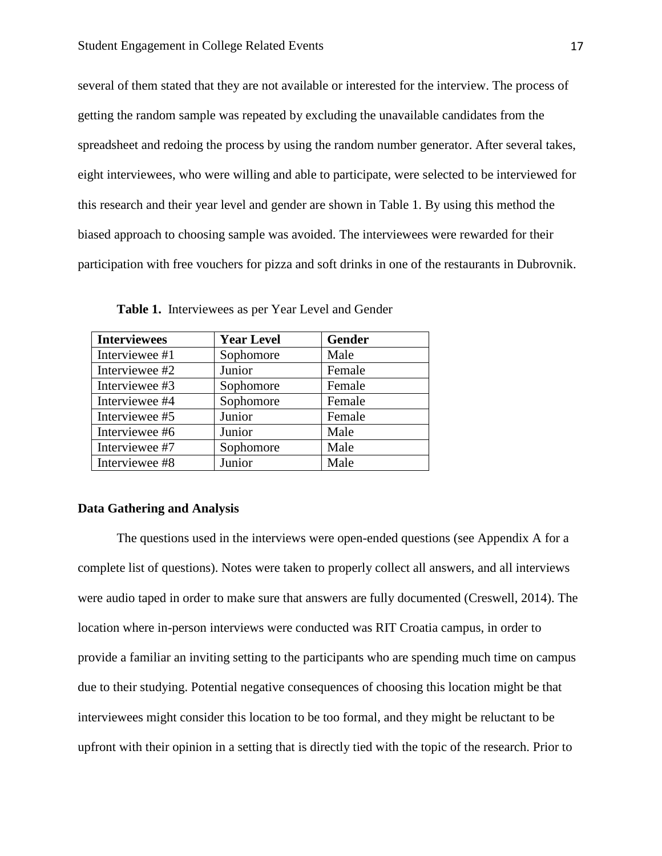several of them stated that they are not available or interested for the interview. The process of getting the random sample was repeated by excluding the unavailable candidates from the spreadsheet and redoing the process by using the random number generator. After several takes, eight interviewees, who were willing and able to participate, were selected to be interviewed for this research and their year level and gender are shown in Table 1. By using this method the biased approach to choosing sample was avoided. The interviewees were rewarded for their participation with free vouchers for pizza and soft drinks in one of the restaurants in Dubrovnik.

| <b>Interviewees</b> | <b>Year Level</b> | Gender |
|---------------------|-------------------|--------|
| Interviewee #1      | Sophomore         | Male   |
| Interviewee #2      | Junior            | Female |
| Interviewee #3      | Sophomore         | Female |
| Interviewee #4      | Sophomore         | Female |
| Interviewee #5      | Junior            | Female |
| Interviewee #6      | Junior            | Male   |
| Interviewee #7      | Sophomore         | Male   |
| Interviewee #8      | Junior            | Male   |

**Table 1.** Interviewees as per Year Level and Gender

#### **Data Gathering and Analysis**

The questions used in the interviews were open-ended questions (see Appendix A for a complete list of questions). Notes were taken to properly collect all answers, and all interviews were audio taped in order to make sure that answers are fully documented (Creswell, 2014). The location where in-person interviews were conducted was RIT Croatia campus, in order to provide a familiar an inviting setting to the participants who are spending much time on campus due to their studying. Potential negative consequences of choosing this location might be that interviewees might consider this location to be too formal, and they might be reluctant to be upfront with their opinion in a setting that is directly tied with the topic of the research. Prior to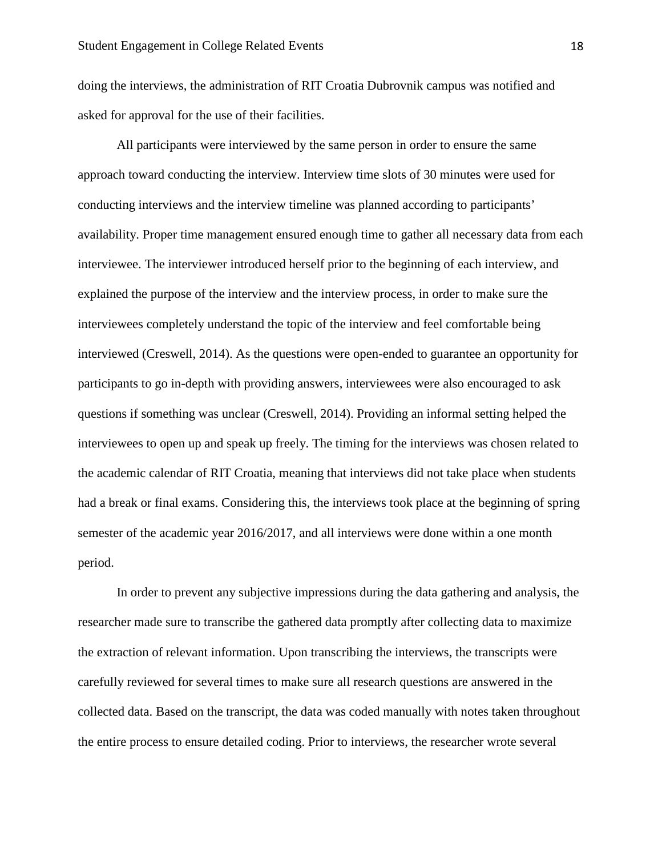doing the interviews, the administration of RIT Croatia Dubrovnik campus was notified and asked for approval for the use of their facilities.

All participants were interviewed by the same person in order to ensure the same approach toward conducting the interview. Interview time slots of 30 minutes were used for conducting interviews and the interview timeline was planned according to participants' availability. Proper time management ensured enough time to gather all necessary data from each interviewee. The interviewer introduced herself prior to the beginning of each interview, and explained the purpose of the interview and the interview process, in order to make sure the interviewees completely understand the topic of the interview and feel comfortable being interviewed (Creswell, 2014). As the questions were open-ended to guarantee an opportunity for participants to go in-depth with providing answers, interviewees were also encouraged to ask questions if something was unclear (Creswell, 2014). Providing an informal setting helped the interviewees to open up and speak up freely. The timing for the interviews was chosen related to the academic calendar of RIT Croatia, meaning that interviews did not take place when students had a break or final exams. Considering this, the interviews took place at the beginning of spring semester of the academic year 2016/2017, and all interviews were done within a one month period.

In order to prevent any subjective impressions during the data gathering and analysis, the researcher made sure to transcribe the gathered data promptly after collecting data to maximize the extraction of relevant information. Upon transcribing the interviews, the transcripts were carefully reviewed for several times to make sure all research questions are answered in the collected data. Based on the transcript, the data was coded manually with notes taken throughout the entire process to ensure detailed coding. Prior to interviews, the researcher wrote several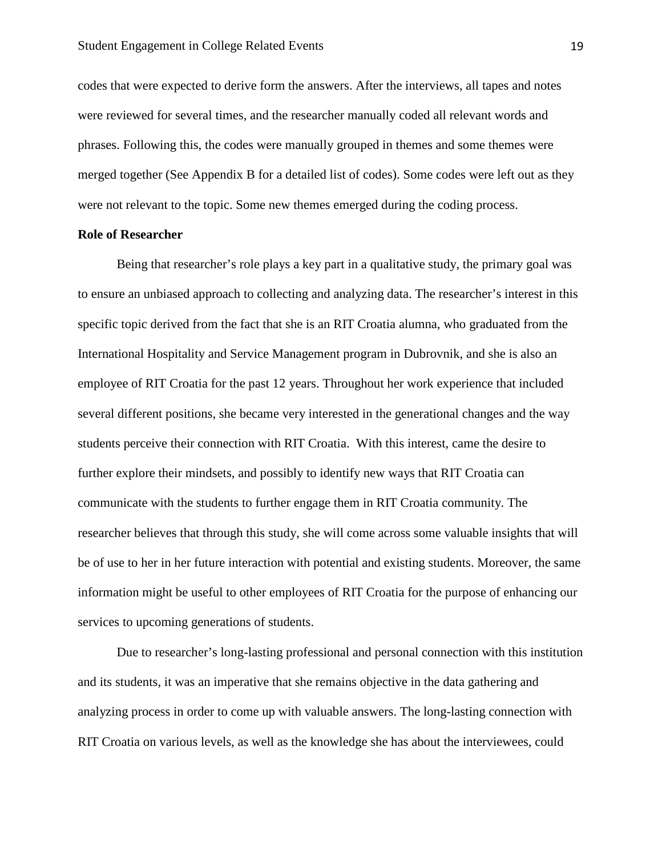codes that were expected to derive form the answers. After the interviews, all tapes and notes were reviewed for several times, and the researcher manually coded all relevant words and phrases. Following this, the codes were manually grouped in themes and some themes were merged together (See Appendix B for a detailed list of codes). Some codes were left out as they were not relevant to the topic. Some new themes emerged during the coding process.

#### **Role of Researcher**

Being that researcher's role plays a key part in a qualitative study, the primary goal was to ensure an unbiased approach to collecting and analyzing data. The researcher's interest in this specific topic derived from the fact that she is an RIT Croatia alumna, who graduated from the International Hospitality and Service Management program in Dubrovnik, and she is also an employee of RIT Croatia for the past 12 years. Throughout her work experience that included several different positions, she became very interested in the generational changes and the way students perceive their connection with RIT Croatia. With this interest, came the desire to further explore their mindsets, and possibly to identify new ways that RIT Croatia can communicate with the students to further engage them in RIT Croatia community. The researcher believes that through this study, she will come across some valuable insights that will be of use to her in her future interaction with potential and existing students. Moreover, the same information might be useful to other employees of RIT Croatia for the purpose of enhancing our services to upcoming generations of students.

Due to researcher's long-lasting professional and personal connection with this institution and its students, it was an imperative that she remains objective in the data gathering and analyzing process in order to come up with valuable answers. The long-lasting connection with RIT Croatia on various levels, as well as the knowledge she has about the interviewees, could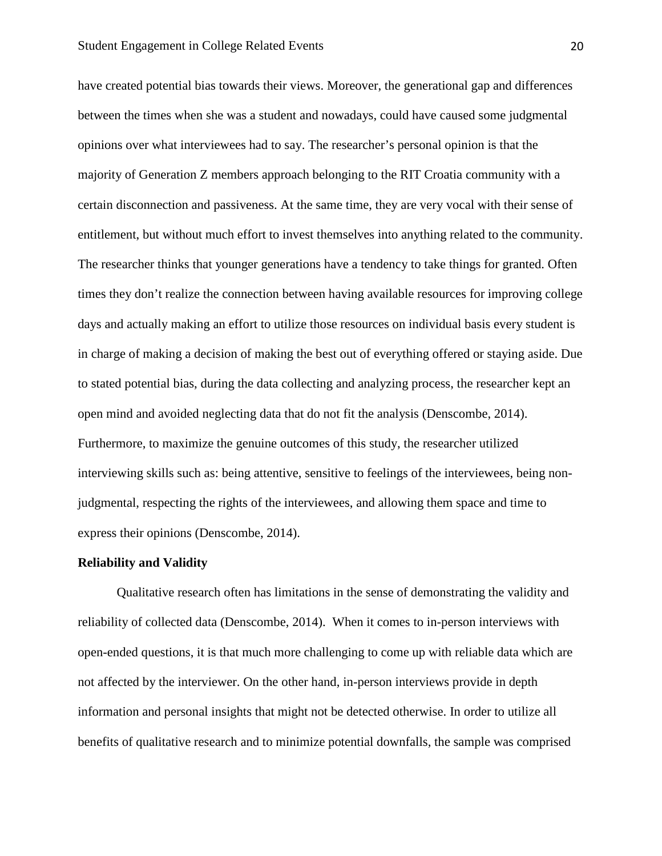have created potential bias towards their views. Moreover, the generational gap and differences between the times when she was a student and nowadays, could have caused some judgmental opinions over what interviewees had to say. The researcher's personal opinion is that the majority of Generation Z members approach belonging to the RIT Croatia community with a certain disconnection and passiveness. At the same time, they are very vocal with their sense of entitlement, but without much effort to invest themselves into anything related to the community. The researcher thinks that younger generations have a tendency to take things for granted. Often times they don't realize the connection between having available resources for improving college days and actually making an effort to utilize those resources on individual basis every student is in charge of making a decision of making the best out of everything offered or staying aside. Due to stated potential bias, during the data collecting and analyzing process, the researcher kept an open mind and avoided neglecting data that do not fit the analysis (Denscombe, 2014). Furthermore, to maximize the genuine outcomes of this study, the researcher utilized interviewing skills such as: being attentive, sensitive to feelings of the interviewees, being nonjudgmental, respecting the rights of the interviewees, and allowing them space and time to express their opinions (Denscombe, 2014).

#### **Reliability and Validity**

Qualitative research often has limitations in the sense of demonstrating the validity and reliability of collected data (Denscombe, 2014). When it comes to in-person interviews with open-ended questions, it is that much more challenging to come up with reliable data which are not affected by the interviewer. On the other hand, in-person interviews provide in depth information and personal insights that might not be detected otherwise. In order to utilize all benefits of qualitative research and to minimize potential downfalls, the sample was comprised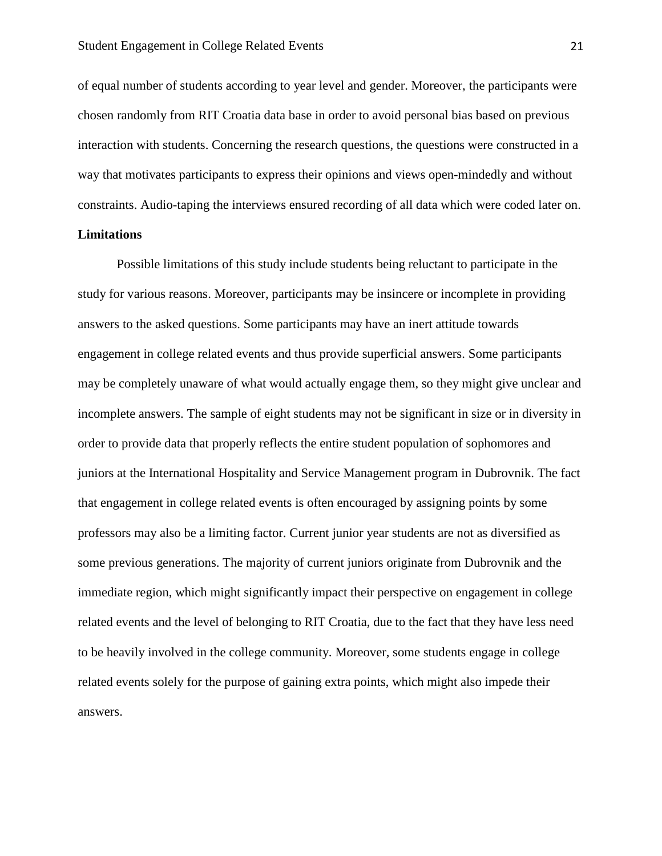of equal number of students according to year level and gender. Moreover, the participants were chosen randomly from RIT Croatia data base in order to avoid personal bias based on previous interaction with students. Concerning the research questions, the questions were constructed in a way that motivates participants to express their opinions and views open-mindedly and without constraints. Audio-taping the interviews ensured recording of all data which were coded later on.

#### **Limitations**

Possible limitations of this study include students being reluctant to participate in the study for various reasons. Moreover, participants may be insincere or incomplete in providing answers to the asked questions. Some participants may have an inert attitude towards engagement in college related events and thus provide superficial answers. Some participants may be completely unaware of what would actually engage them, so they might give unclear and incomplete answers. The sample of eight students may not be significant in size or in diversity in order to provide data that properly reflects the entire student population of sophomores and juniors at the International Hospitality and Service Management program in Dubrovnik. The fact that engagement in college related events is often encouraged by assigning points by some professors may also be a limiting factor. Current junior year students are not as diversified as some previous generations. The majority of current juniors originate from Dubrovnik and the immediate region, which might significantly impact their perspective on engagement in college related events and the level of belonging to RIT Croatia, due to the fact that they have less need to be heavily involved in the college community. Moreover, some students engage in college related events solely for the purpose of gaining extra points, which might also impede their answers.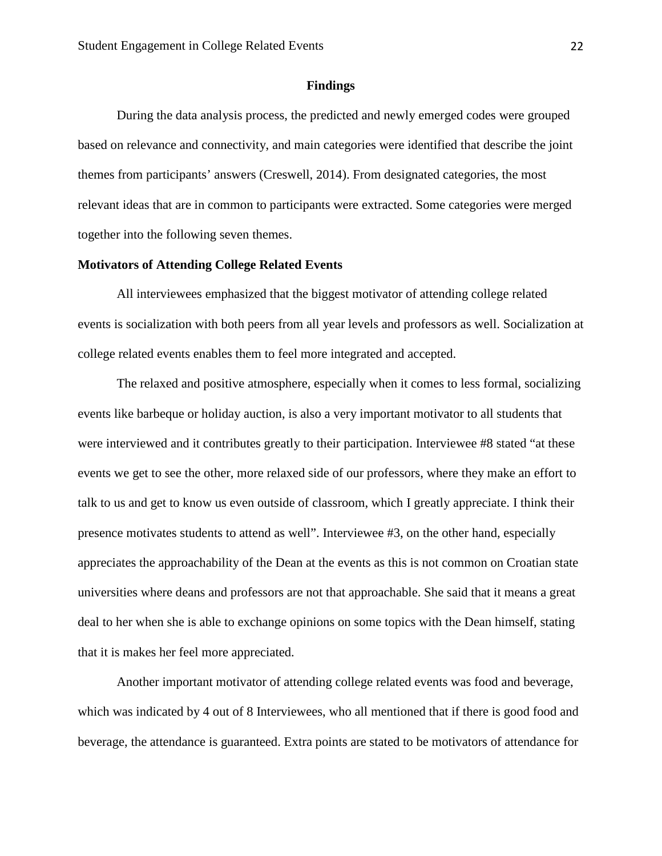#### **Findings**

During the data analysis process, the predicted and newly emerged codes were grouped based on relevance and connectivity, and main categories were identified that describe the joint themes from participants' answers (Creswell, 2014). From designated categories, the most relevant ideas that are in common to participants were extracted. Some categories were merged together into the following seven themes.

#### **Motivators of Attending College Related Events**

All interviewees emphasized that the biggest motivator of attending college related events is socialization with both peers from all year levels and professors as well. Socialization at college related events enables them to feel more integrated and accepted.

The relaxed and positive atmosphere, especially when it comes to less formal, socializing events like barbeque or holiday auction, is also a very important motivator to all students that were interviewed and it contributes greatly to their participation. Interviewee #8 stated "at these events we get to see the other, more relaxed side of our professors, where they make an effort to talk to us and get to know us even outside of classroom, which I greatly appreciate. I think their presence motivates students to attend as well". Interviewee #3, on the other hand, especially appreciates the approachability of the Dean at the events as this is not common on Croatian state universities where deans and professors are not that approachable. She said that it means a great deal to her when she is able to exchange opinions on some topics with the Dean himself, stating that it is makes her feel more appreciated.

Another important motivator of attending college related events was food and beverage, which was indicated by 4 out of 8 Interviewees, who all mentioned that if there is good food and beverage, the attendance is guaranteed. Extra points are stated to be motivators of attendance for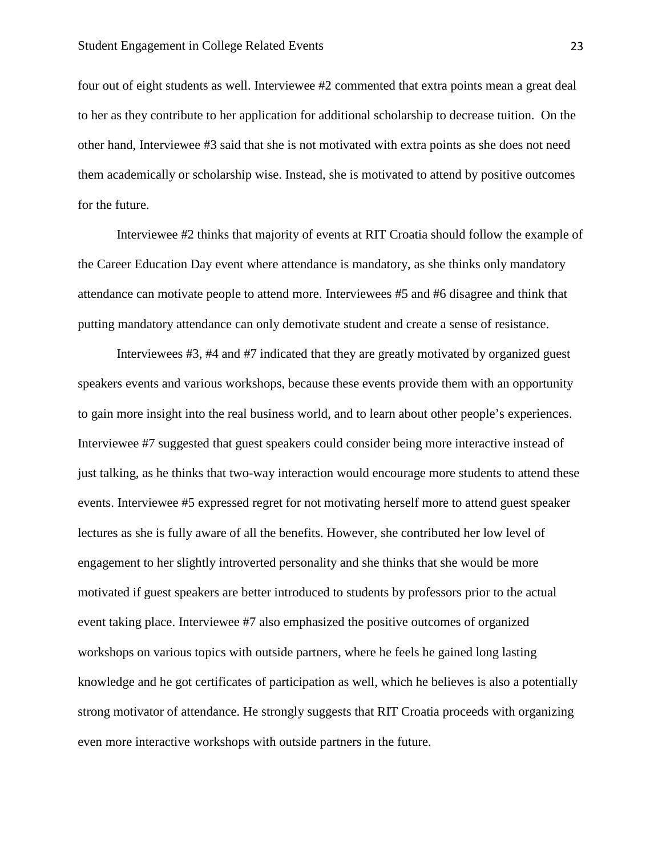four out of eight students as well. Interviewee #2 commented that extra points mean a great deal to her as they contribute to her application for additional scholarship to decrease tuition. On the other hand, Interviewee #3 said that she is not motivated with extra points as she does not need them academically or scholarship wise. Instead, she is motivated to attend by positive outcomes for the future.

Interviewee #2 thinks that majority of events at RIT Croatia should follow the example of the Career Education Day event where attendance is mandatory, as she thinks only mandatory attendance can motivate people to attend more. Interviewees #5 and #6 disagree and think that putting mandatory attendance can only demotivate student and create a sense of resistance.

Interviewees #3, #4 and #7 indicated that they are greatly motivated by organized guest speakers events and various workshops, because these events provide them with an opportunity to gain more insight into the real business world, and to learn about other people's experiences. Interviewee #7 suggested that guest speakers could consider being more interactive instead of just talking, as he thinks that two-way interaction would encourage more students to attend these events. Interviewee #5 expressed regret for not motivating herself more to attend guest speaker lectures as she is fully aware of all the benefits. However, she contributed her low level of engagement to her slightly introverted personality and she thinks that she would be more motivated if guest speakers are better introduced to students by professors prior to the actual event taking place. Interviewee #7 also emphasized the positive outcomes of organized workshops on various topics with outside partners, where he feels he gained long lasting knowledge and he got certificates of participation as well, which he believes is also a potentially strong motivator of attendance. He strongly suggests that RIT Croatia proceeds with organizing even more interactive workshops with outside partners in the future.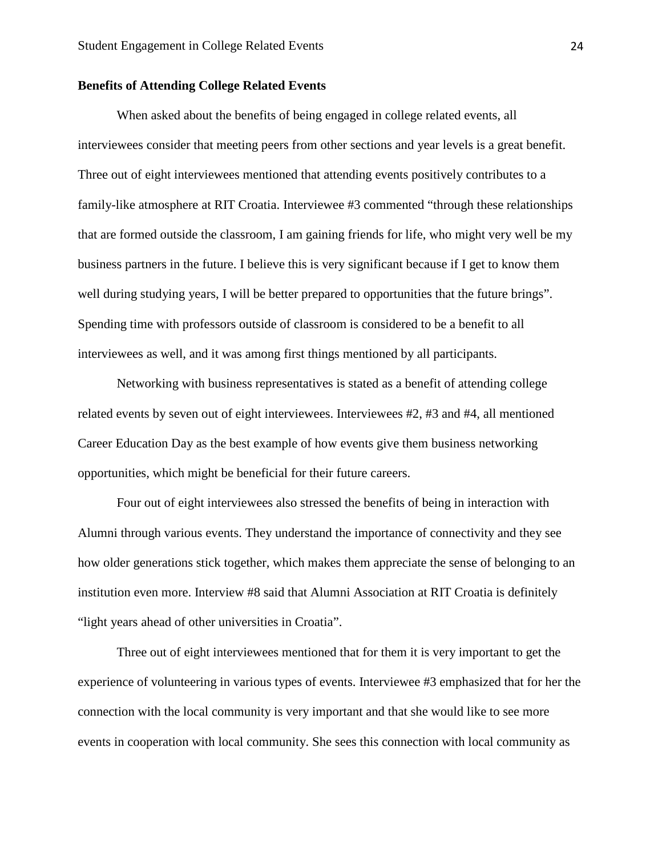#### **Benefits of Attending College Related Events**

When asked about the benefits of being engaged in college related events, all interviewees consider that meeting peers from other sections and year levels is a great benefit. Three out of eight interviewees mentioned that attending events positively contributes to a family-like atmosphere at RIT Croatia. Interviewee #3 commented "through these relationships that are formed outside the classroom, I am gaining friends for life, who might very well be my business partners in the future. I believe this is very significant because if I get to know them well during studying years, I will be better prepared to opportunities that the future brings". Spending time with professors outside of classroom is considered to be a benefit to all interviewees as well, and it was among first things mentioned by all participants.

Networking with business representatives is stated as a benefit of attending college related events by seven out of eight interviewees. Interviewees #2, #3 and #4, all mentioned Career Education Day as the best example of how events give them business networking opportunities, which might be beneficial for their future careers.

Four out of eight interviewees also stressed the benefits of being in interaction with Alumni through various events. They understand the importance of connectivity and they see how older generations stick together, which makes them appreciate the sense of belonging to an institution even more. Interview #8 said that Alumni Association at RIT Croatia is definitely "light years ahead of other universities in Croatia".

Three out of eight interviewees mentioned that for them it is very important to get the experience of volunteering in various types of events. Interviewee #3 emphasized that for her the connection with the local community is very important and that she would like to see more events in cooperation with local community. She sees this connection with local community as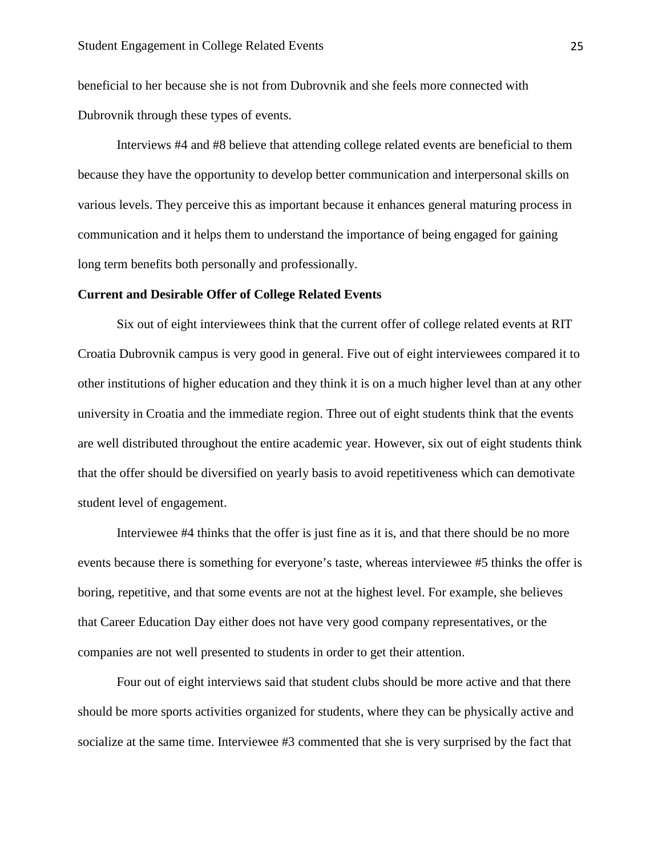beneficial to her because she is not from Dubrovnik and she feels more connected with Dubrovnik through these types of events.

Interviews #4 and #8 believe that attending college related events are beneficial to them because they have the opportunity to develop better communication and interpersonal skills on various levels. They perceive this as important because it enhances general maturing process in communication and it helps them to understand the importance of being engaged for gaining long term benefits both personally and professionally.

#### **Current and Desirable Offer of College Related Events**

Six out of eight interviewees think that the current offer of college related events at RIT Croatia Dubrovnik campus is very good in general. Five out of eight interviewees compared it to other institutions of higher education and they think it is on a much higher level than at any other university in Croatia and the immediate region. Three out of eight students think that the events are well distributed throughout the entire academic year. However, six out of eight students think that the offer should be diversified on yearly basis to avoid repetitiveness which can demotivate student level of engagement.

Interviewee #4 thinks that the offer is just fine as it is, and that there should be no more events because there is something for everyone's taste, whereas interviewee #5 thinks the offer is boring, repetitive, and that some events are not at the highest level. For example, she believes that Career Education Day either does not have very good company representatives, or the companies are not well presented to students in order to get their attention.

Four out of eight interviews said that student clubs should be more active and that there should be more sports activities organized for students, where they can be physically active and socialize at the same time. Interviewee #3 commented that she is very surprised by the fact that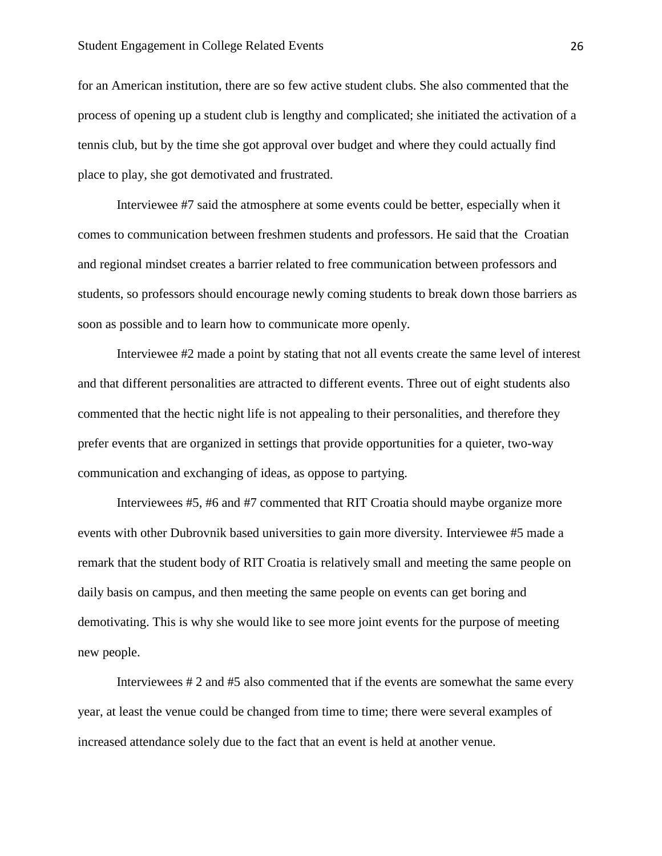for an American institution, there are so few active student clubs. She also commented that the process of opening up a student club is lengthy and complicated; she initiated the activation of a tennis club, but by the time she got approval over budget and where they could actually find place to play, she got demotivated and frustrated.

Interviewee #7 said the atmosphere at some events could be better, especially when it comes to communication between freshmen students and professors. He said that the Croatian and regional mindset creates a barrier related to free communication between professors and students, so professors should encourage newly coming students to break down those barriers as soon as possible and to learn how to communicate more openly.

Interviewee #2 made a point by stating that not all events create the same level of interest and that different personalities are attracted to different events. Three out of eight students also commented that the hectic night life is not appealing to their personalities, and therefore they prefer events that are organized in settings that provide opportunities for a quieter, two-way communication and exchanging of ideas, as oppose to partying.

Interviewees #5, #6 and #7 commented that RIT Croatia should maybe organize more events with other Dubrovnik based universities to gain more diversity. Interviewee #5 made a remark that the student body of RIT Croatia is relatively small and meeting the same people on daily basis on campus, and then meeting the same people on events can get boring and demotivating. This is why she would like to see more joint events for the purpose of meeting new people.

Interviewees # 2 and #5 also commented that if the events are somewhat the same every year, at least the venue could be changed from time to time; there were several examples of increased attendance solely due to the fact that an event is held at another venue.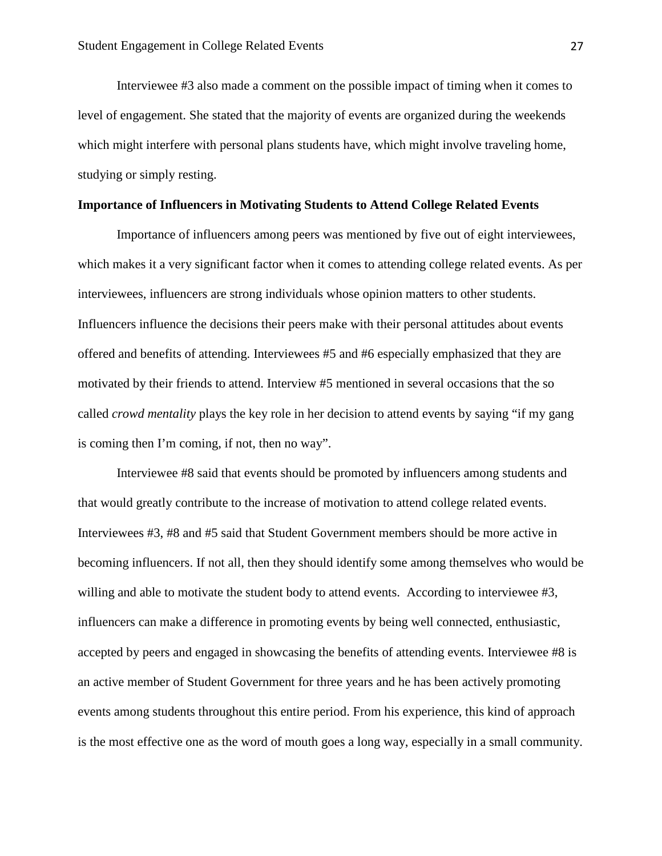Interviewee #3 also made a comment on the possible impact of timing when it comes to level of engagement. She stated that the majority of events are organized during the weekends which might interfere with personal plans students have, which might involve traveling home, studying or simply resting.

#### **Importance of Influencers in Motivating Students to Attend College Related Events**

Importance of influencers among peers was mentioned by five out of eight interviewees, which makes it a very significant factor when it comes to attending college related events. As per interviewees, influencers are strong individuals whose opinion matters to other students. Influencers influence the decisions their peers make with their personal attitudes about events offered and benefits of attending. Interviewees #5 and #6 especially emphasized that they are motivated by their friends to attend. Interview #5 mentioned in several occasions that the so called *crowd mentality* plays the key role in her decision to attend events by saying "if my gang is coming then I'm coming, if not, then no way".

Interviewee #8 said that events should be promoted by influencers among students and that would greatly contribute to the increase of motivation to attend college related events. Interviewees #3, #8 and #5 said that Student Government members should be more active in becoming influencers. If not all, then they should identify some among themselves who would be willing and able to motivate the student body to attend events. According to interviewee #3, influencers can make a difference in promoting events by being well connected, enthusiastic, accepted by peers and engaged in showcasing the benefits of attending events. Interviewee #8 is an active member of Student Government for three years and he has been actively promoting events among students throughout this entire period. From his experience, this kind of approach is the most effective one as the word of mouth goes a long way, especially in a small community.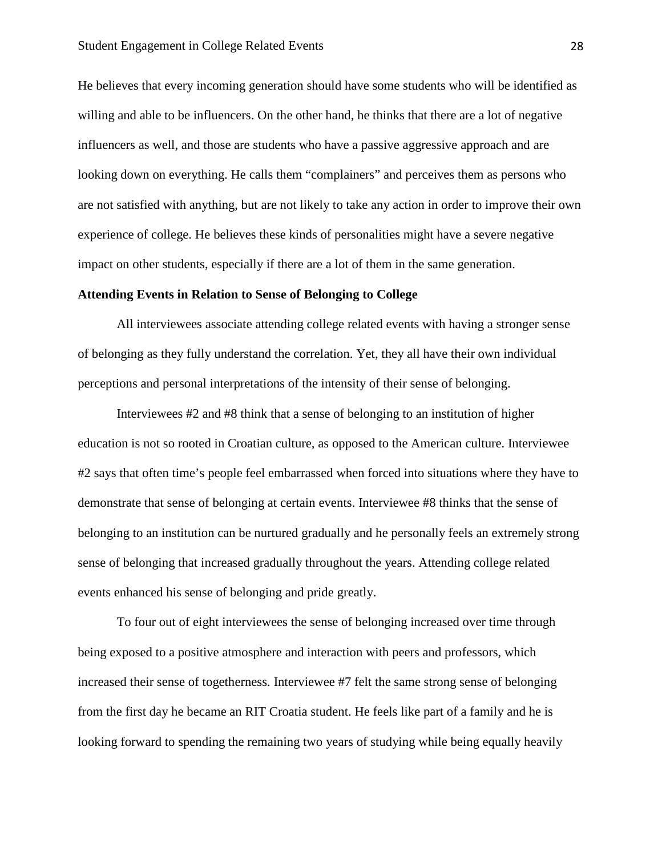He believes that every incoming generation should have some students who will be identified as willing and able to be influencers. On the other hand, he thinks that there are a lot of negative influencers as well, and those are students who have a passive aggressive approach and are looking down on everything. He calls them "complainers" and perceives them as persons who are not satisfied with anything, but are not likely to take any action in order to improve their own experience of college. He believes these kinds of personalities might have a severe negative impact on other students, especially if there are a lot of them in the same generation.

#### **Attending Events in Relation to Sense of Belonging to College**

All interviewees associate attending college related events with having a stronger sense of belonging as they fully understand the correlation. Yet, they all have their own individual perceptions and personal interpretations of the intensity of their sense of belonging.

Interviewees #2 and #8 think that a sense of belonging to an institution of higher education is not so rooted in Croatian culture, as opposed to the American culture. Interviewee #2 says that often time's people feel embarrassed when forced into situations where they have to demonstrate that sense of belonging at certain events. Interviewee #8 thinks that the sense of belonging to an institution can be nurtured gradually and he personally feels an extremely strong sense of belonging that increased gradually throughout the years. Attending college related events enhanced his sense of belonging and pride greatly.

To four out of eight interviewees the sense of belonging increased over time through being exposed to a positive atmosphere and interaction with peers and professors, which increased their sense of togetherness. Interviewee #7 felt the same strong sense of belonging from the first day he became an RIT Croatia student. He feels like part of a family and he is looking forward to spending the remaining two years of studying while being equally heavily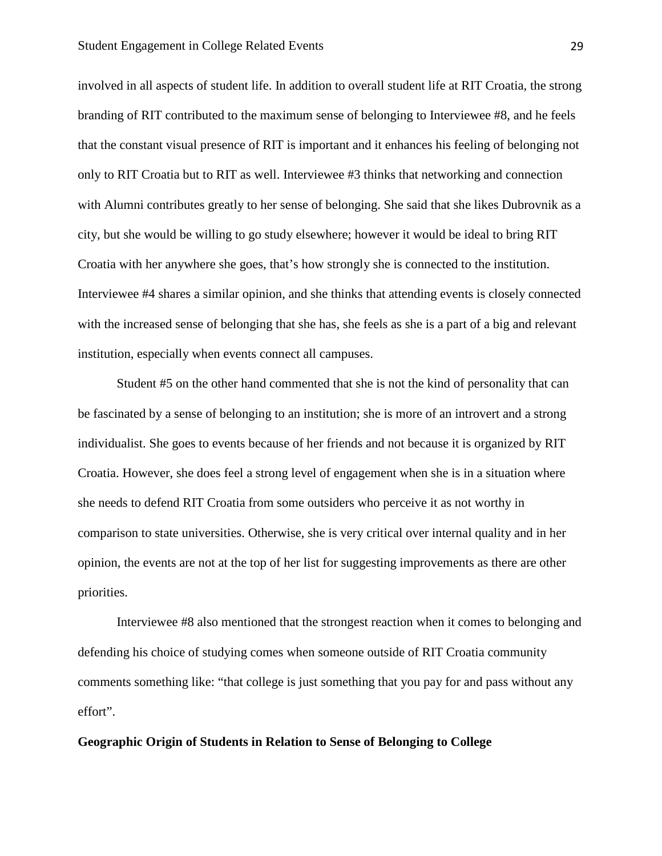involved in all aspects of student life. In addition to overall student life at RIT Croatia, the strong branding of RIT contributed to the maximum sense of belonging to Interviewee #8, and he feels that the constant visual presence of RIT is important and it enhances his feeling of belonging not only to RIT Croatia but to RIT as well. Interviewee #3 thinks that networking and connection with Alumni contributes greatly to her sense of belonging. She said that she likes Dubrovnik as a city, but she would be willing to go study elsewhere; however it would be ideal to bring RIT Croatia with her anywhere she goes, that's how strongly she is connected to the institution. Interviewee #4 shares a similar opinion, and she thinks that attending events is closely connected with the increased sense of belonging that she has, she feels as she is a part of a big and relevant institution, especially when events connect all campuses.

Student #5 on the other hand commented that she is not the kind of personality that can be fascinated by a sense of belonging to an institution; she is more of an introvert and a strong individualist. She goes to events because of her friends and not because it is organized by RIT Croatia. However, she does feel a strong level of engagement when she is in a situation where she needs to defend RIT Croatia from some outsiders who perceive it as not worthy in comparison to state universities. Otherwise, she is very critical over internal quality and in her opinion, the events are not at the top of her list for suggesting improvements as there are other priorities.

Interviewee #8 also mentioned that the strongest reaction when it comes to belonging and defending his choice of studying comes when someone outside of RIT Croatia community comments something like: "that college is just something that you pay for and pass without any effort".

**Geographic Origin of Students in Relation to Sense of Belonging to College**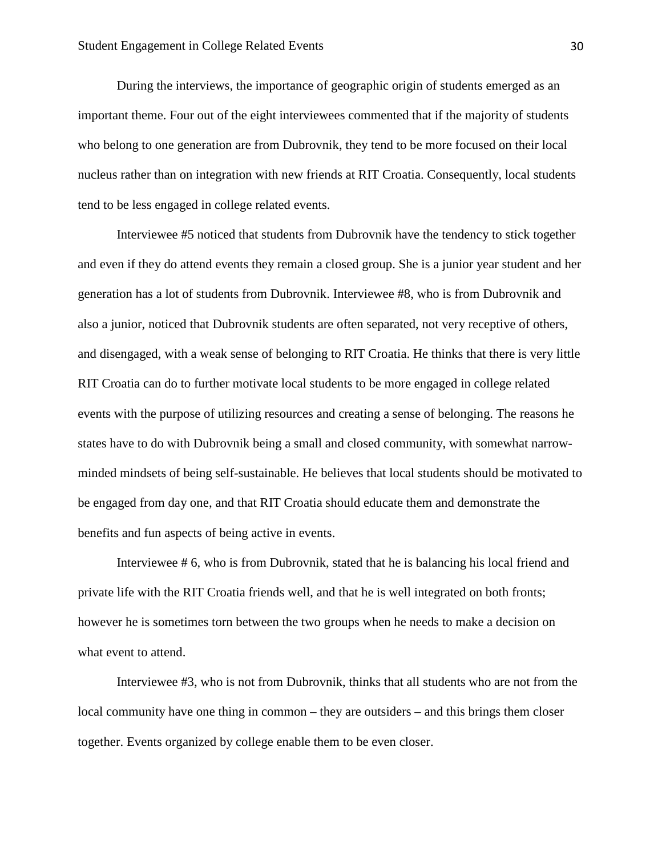During the interviews, the importance of geographic origin of students emerged as an important theme. Four out of the eight interviewees commented that if the majority of students who belong to one generation are from Dubrovnik, they tend to be more focused on their local nucleus rather than on integration with new friends at RIT Croatia. Consequently, local students tend to be less engaged in college related events.

Interviewee #5 noticed that students from Dubrovnik have the tendency to stick together and even if they do attend events they remain a closed group. She is a junior year student and her generation has a lot of students from Dubrovnik. Interviewee #8, who is from Dubrovnik and also a junior, noticed that Dubrovnik students are often separated, not very receptive of others, and disengaged, with a weak sense of belonging to RIT Croatia. He thinks that there is very little RIT Croatia can do to further motivate local students to be more engaged in college related events with the purpose of utilizing resources and creating a sense of belonging. The reasons he states have to do with Dubrovnik being a small and closed community, with somewhat narrowminded mindsets of being self-sustainable. He believes that local students should be motivated to be engaged from day one, and that RIT Croatia should educate them and demonstrate the benefits and fun aspects of being active in events.

Interviewee # 6, who is from Dubrovnik, stated that he is balancing his local friend and private life with the RIT Croatia friends well, and that he is well integrated on both fronts; however he is sometimes torn between the two groups when he needs to make a decision on what event to attend.

Interviewee #3, who is not from Dubrovnik, thinks that all students who are not from the local community have one thing in common – they are outsiders – and this brings them closer together. Events organized by college enable them to be even closer.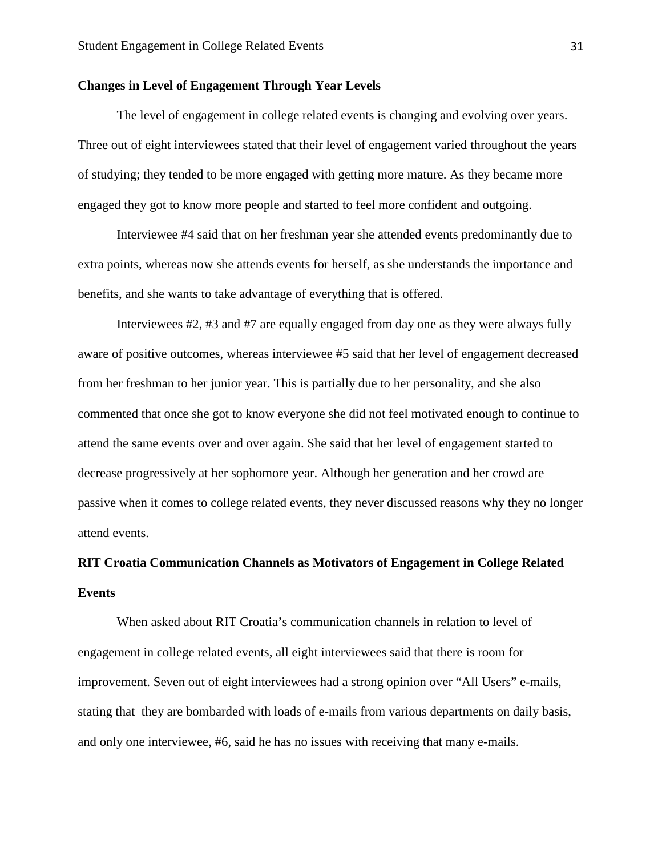#### **Changes in Level of Engagement Through Year Levels**

The level of engagement in college related events is changing and evolving over years. Three out of eight interviewees stated that their level of engagement varied throughout the years of studying; they tended to be more engaged with getting more mature. As they became more engaged they got to know more people and started to feel more confident and outgoing.

Interviewee #4 said that on her freshman year she attended events predominantly due to extra points, whereas now she attends events for herself, as she understands the importance and benefits, and she wants to take advantage of everything that is offered.

Interviewees #2, #3 and #7 are equally engaged from day one as they were always fully aware of positive outcomes, whereas interviewee #5 said that her level of engagement decreased from her freshman to her junior year. This is partially due to her personality, and she also commented that once she got to know everyone she did not feel motivated enough to continue to attend the same events over and over again. She said that her level of engagement started to decrease progressively at her sophomore year. Although her generation and her crowd are passive when it comes to college related events, they never discussed reasons why they no longer attend events.

## **RIT Croatia Communication Channels as Motivators of Engagement in College Related Events**

When asked about RIT Croatia's communication channels in relation to level of engagement in college related events, all eight interviewees said that there is room for improvement. Seven out of eight interviewees had a strong opinion over "All Users" e-mails, stating that they are bombarded with loads of e-mails from various departments on daily basis, and only one interviewee, #6, said he has no issues with receiving that many e-mails.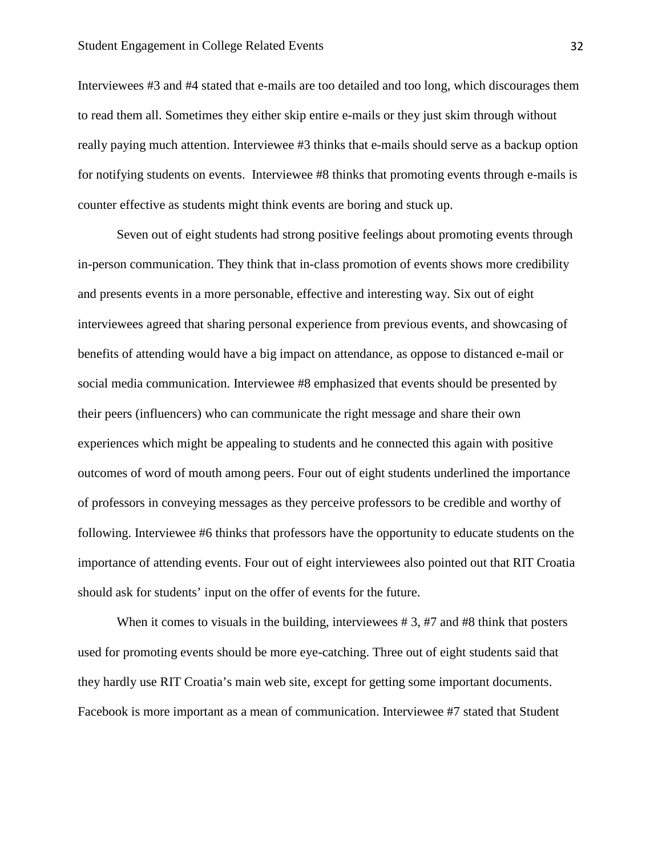Interviewees #3 and #4 stated that e-mails are too detailed and too long, which discourages them to read them all. Sometimes they either skip entire e-mails or they just skim through without really paying much attention. Interviewee #3 thinks that e-mails should serve as a backup option for notifying students on events. Interviewee #8 thinks that promoting events through e-mails is counter effective as students might think events are boring and stuck up.

Seven out of eight students had strong positive feelings about promoting events through in-person communication. They think that in-class promotion of events shows more credibility and presents events in a more personable, effective and interesting way. Six out of eight interviewees agreed that sharing personal experience from previous events, and showcasing of benefits of attending would have a big impact on attendance, as oppose to distanced e-mail or social media communication. Interviewee #8 emphasized that events should be presented by their peers (influencers) who can communicate the right message and share their own experiences which might be appealing to students and he connected this again with positive outcomes of word of mouth among peers. Four out of eight students underlined the importance of professors in conveying messages as they perceive professors to be credible and worthy of following. Interviewee #6 thinks that professors have the opportunity to educate students on the importance of attending events. Four out of eight interviewees also pointed out that RIT Croatia should ask for students' input on the offer of events for the future.

When it comes to visuals in the building, interviewees #3, #7 and #8 think that posters used for promoting events should be more eye-catching. Three out of eight students said that they hardly use RIT Croatia's main web site, except for getting some important documents. Facebook is more important as a mean of communication. Interviewee #7 stated that Student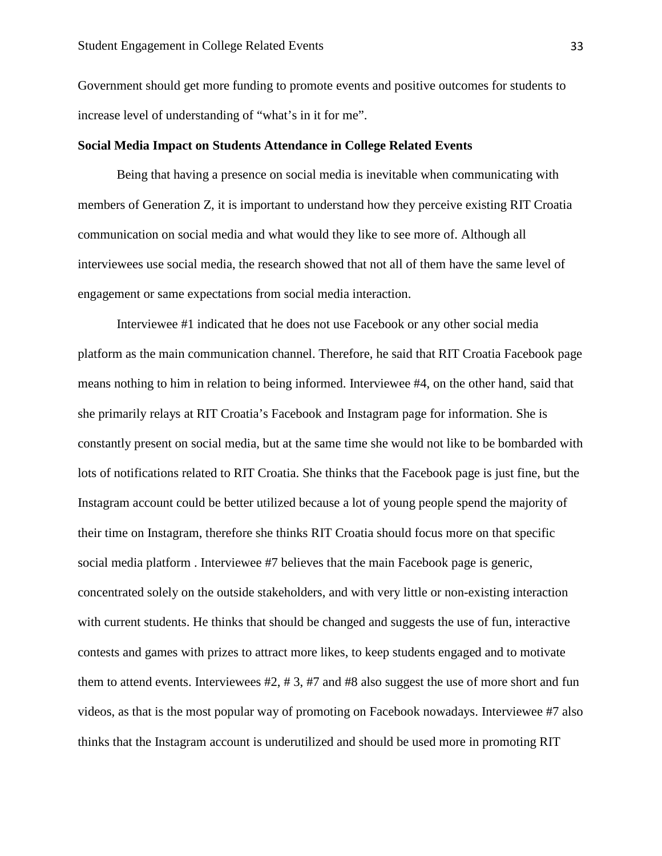Government should get more funding to promote events and positive outcomes for students to increase level of understanding of "what's in it for me".

#### **Social Media Impact on Students Attendance in College Related Events**

Being that having a presence on social media is inevitable when communicating with members of Generation Z, it is important to understand how they perceive existing RIT Croatia communication on social media and what would they like to see more of. Although all interviewees use social media, the research showed that not all of them have the same level of engagement or same expectations from social media interaction.

Interviewee #1 indicated that he does not use Facebook or any other social media platform as the main communication channel. Therefore, he said that RIT Croatia Facebook page means nothing to him in relation to being informed. Interviewee #4, on the other hand, said that she primarily relays at RIT Croatia's Facebook and Instagram page for information. She is constantly present on social media, but at the same time she would not like to be bombarded with lots of notifications related to RIT Croatia. She thinks that the Facebook page is just fine, but the Instagram account could be better utilized because a lot of young people spend the majority of their time on Instagram, therefore she thinks RIT Croatia should focus more on that specific social media platform . Interviewee #7 believes that the main Facebook page is generic, concentrated solely on the outside stakeholders, and with very little or non-existing interaction with current students. He thinks that should be changed and suggests the use of fun, interactive contests and games with prizes to attract more likes, to keep students engaged and to motivate them to attend events. Interviewees #2, # 3, #7 and #8 also suggest the use of more short and fun videos, as that is the most popular way of promoting on Facebook nowadays. Interviewee #7 also thinks that the Instagram account is underutilized and should be used more in promoting RIT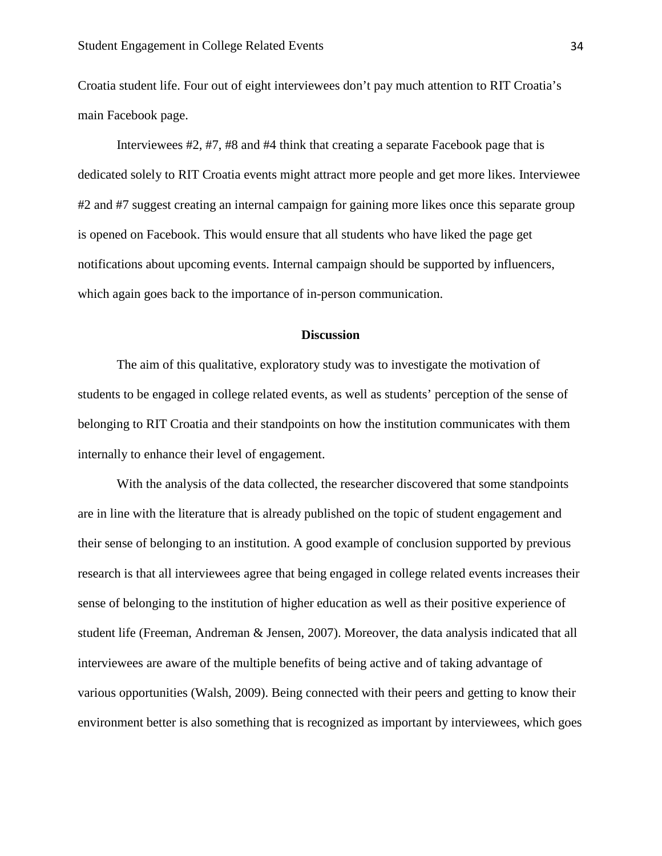Croatia student life. Four out of eight interviewees don't pay much attention to RIT Croatia's main Facebook page.

Interviewees #2, #7, #8 and #4 think that creating a separate Facebook page that is dedicated solely to RIT Croatia events might attract more people and get more likes. Interviewee #2 and #7 suggest creating an internal campaign for gaining more likes once this separate group is opened on Facebook. This would ensure that all students who have liked the page get notifications about upcoming events. Internal campaign should be supported by influencers, which again goes back to the importance of in-person communication.

#### **Discussion**

The aim of this qualitative, exploratory study was to investigate the motivation of students to be engaged in college related events, as well as students' perception of the sense of belonging to RIT Croatia and their standpoints on how the institution communicates with them internally to enhance their level of engagement.

With the analysis of the data collected, the researcher discovered that some standpoints are in line with the literature that is already published on the topic of student engagement and their sense of belonging to an institution. A good example of conclusion supported by previous research is that all interviewees agree that being engaged in college related events increases their sense of belonging to the institution of higher education as well as their positive experience of student life (Freeman, Andreman & Jensen, 2007). Moreover, the data analysis indicated that all interviewees are aware of the multiple benefits of being active and of taking advantage of various opportunities (Walsh, 2009). Being connected with their peers and getting to know their environment better is also something that is recognized as important by interviewees, which goes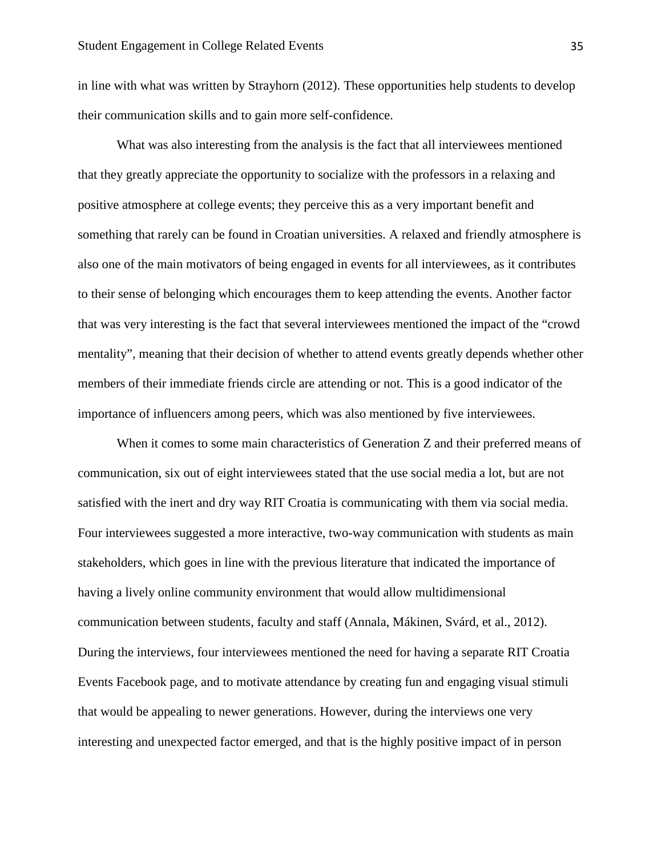in line with what was written by Strayhorn (2012). These opportunities help students to develop their communication skills and to gain more self-confidence.

What was also interesting from the analysis is the fact that all interviewees mentioned that they greatly appreciate the opportunity to socialize with the professors in a relaxing and positive atmosphere at college events; they perceive this as a very important benefit and something that rarely can be found in Croatian universities. A relaxed and friendly atmosphere is also one of the main motivators of being engaged in events for all interviewees, as it contributes to their sense of belonging which encourages them to keep attending the events. Another factor that was very interesting is the fact that several interviewees mentioned the impact of the "crowd mentality", meaning that their decision of whether to attend events greatly depends whether other members of their immediate friends circle are attending or not. This is a good indicator of the importance of influencers among peers, which was also mentioned by five interviewees.

When it comes to some main characteristics of Generation Z and their preferred means of communication, six out of eight interviewees stated that the use social media a lot, but are not satisfied with the inert and dry way RIT Croatia is communicating with them via social media. Four interviewees suggested a more interactive, two-way communication with students as main stakeholders, which goes in line with the previous literature that indicated the importance of having a lively online community environment that would allow multidimensional communication between students, faculty and staff (Annala, Mákinen, Svárd, et al., 2012). During the interviews, four interviewees mentioned the need for having a separate RIT Croatia Events Facebook page, and to motivate attendance by creating fun and engaging visual stimuli that would be appealing to newer generations. However, during the interviews one very interesting and unexpected factor emerged, and that is the highly positive impact of in person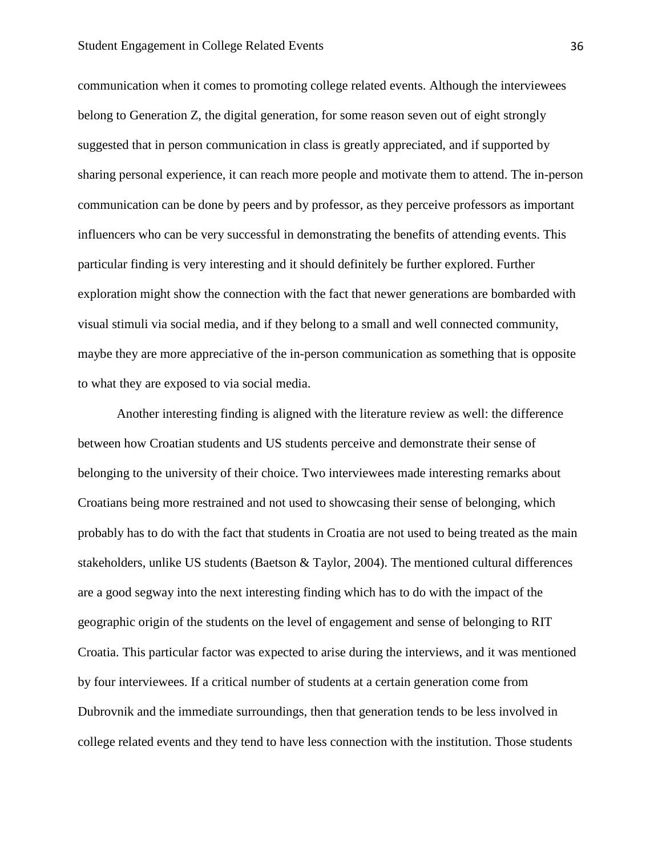communication when it comes to promoting college related events. Although the interviewees belong to Generation Z, the digital generation, for some reason seven out of eight strongly suggested that in person communication in class is greatly appreciated, and if supported by sharing personal experience, it can reach more people and motivate them to attend. The in-person communication can be done by peers and by professor, as they perceive professors as important influencers who can be very successful in demonstrating the benefits of attending events. This particular finding is very interesting and it should definitely be further explored. Further exploration might show the connection with the fact that newer generations are bombarded with visual stimuli via social media, and if they belong to a small and well connected community, maybe they are more appreciative of the in-person communication as something that is opposite to what they are exposed to via social media.

Another interesting finding is aligned with the literature review as well: the difference between how Croatian students and US students perceive and demonstrate their sense of belonging to the university of their choice. Two interviewees made interesting remarks about Croatians being more restrained and not used to showcasing their sense of belonging, which probably has to do with the fact that students in Croatia are not used to being treated as the main stakeholders, unlike US students (Baetson & Taylor, 2004). The mentioned cultural differences are a good segway into the next interesting finding which has to do with the impact of the geographic origin of the students on the level of engagement and sense of belonging to RIT Croatia. This particular factor was expected to arise during the interviews, and it was mentioned by four interviewees. If a critical number of students at a certain generation come from Dubrovnik and the immediate surroundings, then that generation tends to be less involved in college related events and they tend to have less connection with the institution. Those students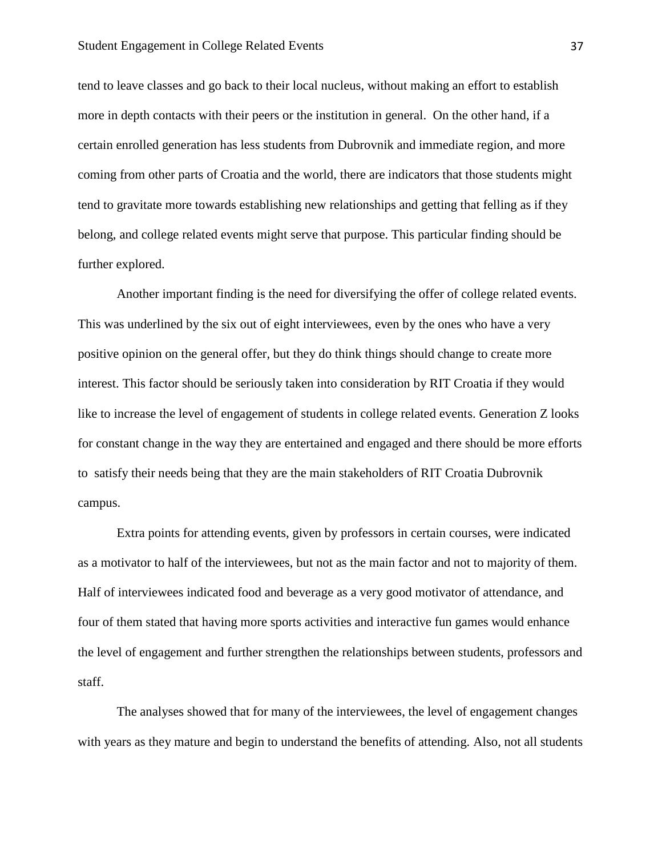tend to leave classes and go back to their local nucleus, without making an effort to establish more in depth contacts with their peers or the institution in general. On the other hand, if a certain enrolled generation has less students from Dubrovnik and immediate region, and more coming from other parts of Croatia and the world, there are indicators that those students might tend to gravitate more towards establishing new relationships and getting that felling as if they belong, and college related events might serve that purpose. This particular finding should be further explored.

Another important finding is the need for diversifying the offer of college related events. This was underlined by the six out of eight interviewees, even by the ones who have a very positive opinion on the general offer, but they do think things should change to create more interest. This factor should be seriously taken into consideration by RIT Croatia if they would like to increase the level of engagement of students in college related events. Generation Z looks for constant change in the way they are entertained and engaged and there should be more efforts to satisfy their needs being that they are the main stakeholders of RIT Croatia Dubrovnik campus.

Extra points for attending events, given by professors in certain courses, were indicated as a motivator to half of the interviewees, but not as the main factor and not to majority of them. Half of interviewees indicated food and beverage as a very good motivator of attendance, and four of them stated that having more sports activities and interactive fun games would enhance the level of engagement and further strengthen the relationships between students, professors and staff.

The analyses showed that for many of the interviewees, the level of engagement changes with years as they mature and begin to understand the benefits of attending. Also, not all students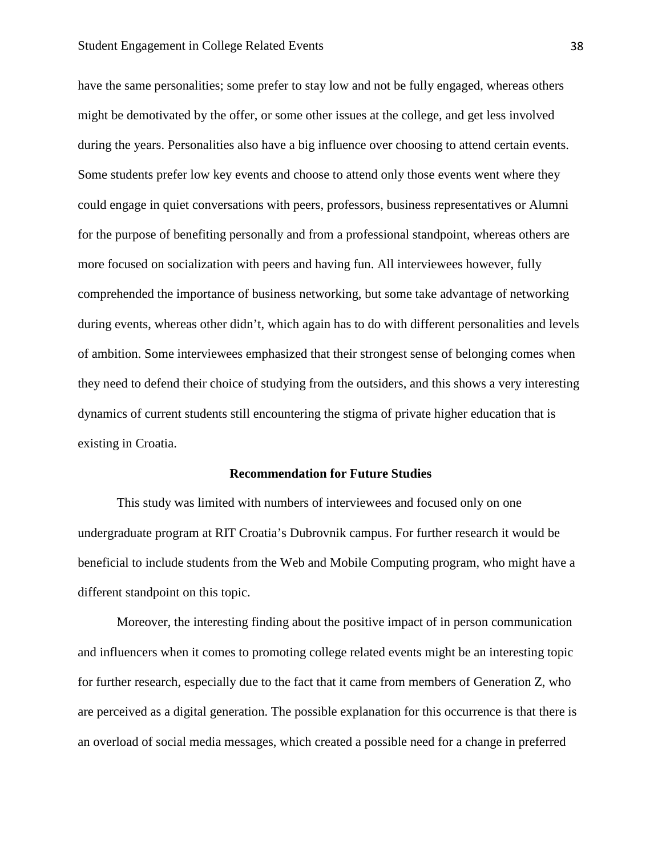#### Student Engagement in College Related Events 38

have the same personalities; some prefer to stay low and not be fully engaged, whereas others might be demotivated by the offer, or some other issues at the college, and get less involved during the years. Personalities also have a big influence over choosing to attend certain events. Some students prefer low key events and choose to attend only those events went where they could engage in quiet conversations with peers, professors, business representatives or Alumni for the purpose of benefiting personally and from a professional standpoint, whereas others are more focused on socialization with peers and having fun. All interviewees however, fully comprehended the importance of business networking, but some take advantage of networking during events, whereas other didn't, which again has to do with different personalities and levels of ambition. Some interviewees emphasized that their strongest sense of belonging comes when they need to defend their choice of studying from the outsiders, and this shows a very interesting dynamics of current students still encountering the stigma of private higher education that is existing in Croatia.

#### **Recommendation for Future Studies**

This study was limited with numbers of interviewees and focused only on one undergraduate program at RIT Croatia's Dubrovnik campus. For further research it would be beneficial to include students from the Web and Mobile Computing program, who might have a different standpoint on this topic.

Moreover, the interesting finding about the positive impact of in person communication and influencers when it comes to promoting college related events might be an interesting topic for further research, especially due to the fact that it came from members of Generation Z, who are perceived as a digital generation. The possible explanation for this occurrence is that there is an overload of social media messages, which created a possible need for a change in preferred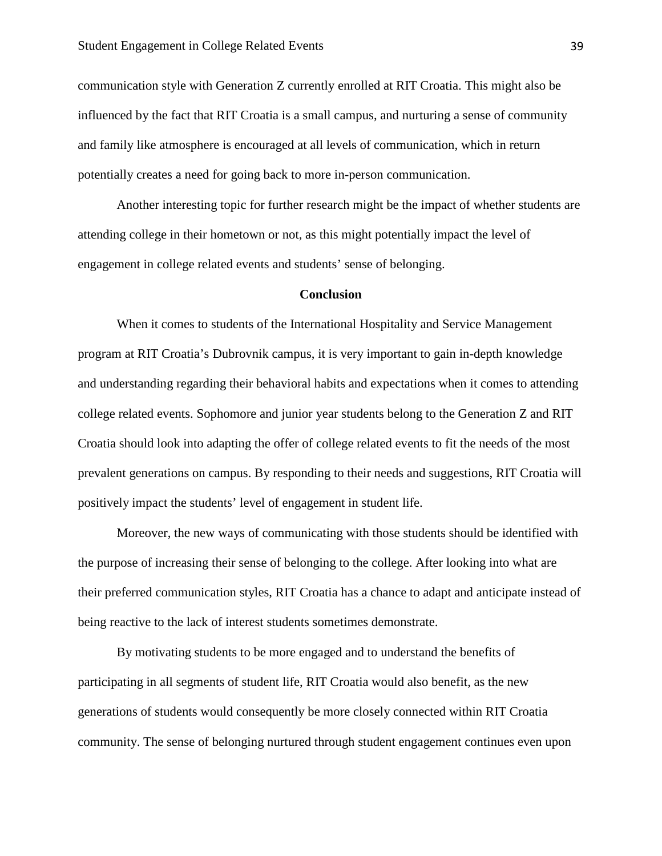communication style with Generation Z currently enrolled at RIT Croatia. This might also be influenced by the fact that RIT Croatia is a small campus, and nurturing a sense of community and family like atmosphere is encouraged at all levels of communication, which in return potentially creates a need for going back to more in-person communication.

Another interesting topic for further research might be the impact of whether students are attending college in their hometown or not, as this might potentially impact the level of engagement in college related events and students' sense of belonging.

#### **Conclusion**

When it comes to students of the International Hospitality and Service Management program at RIT Croatia's Dubrovnik campus, it is very important to gain in-depth knowledge and understanding regarding their behavioral habits and expectations when it comes to attending college related events. Sophomore and junior year students belong to the Generation Z and RIT Croatia should look into adapting the offer of college related events to fit the needs of the most prevalent generations on campus. By responding to their needs and suggestions, RIT Croatia will positively impact the students' level of engagement in student life.

Moreover, the new ways of communicating with those students should be identified with the purpose of increasing their sense of belonging to the college. After looking into what are their preferred communication styles, RIT Croatia has a chance to adapt and anticipate instead of being reactive to the lack of interest students sometimes demonstrate.

By motivating students to be more engaged and to understand the benefits of participating in all segments of student life, RIT Croatia would also benefit, as the new generations of students would consequently be more closely connected within RIT Croatia community. The sense of belonging nurtured through student engagement continues even upon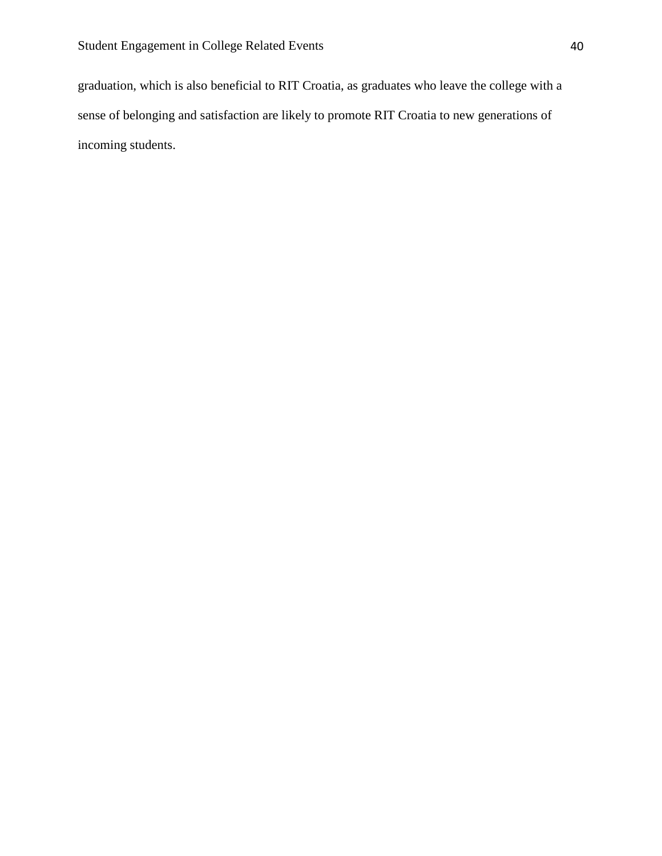graduation, which is also beneficial to RIT Croatia, as graduates who leave the college with a sense of belonging and satisfaction are likely to promote RIT Croatia to new generations of incoming students.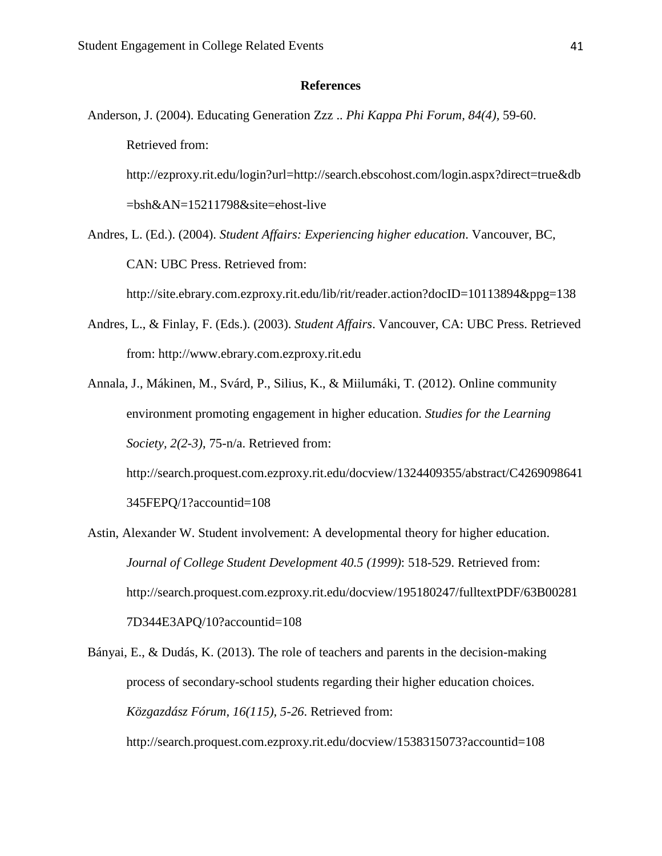#### **References**

Anderson, J. (2004). Educating Generation Zzz .. *Phi Kappa Phi Forum, 84(4),* 59-60. Retrieved from:

http://ezproxy.rit.edu/login?url=http://search.ebscohost.com/login.aspx?direct=true&db =bsh&AN=15211798&site=ehost-live

Andres, L. (Ed.). (2004). *Student Affairs: Experiencing higher education*. Vancouver, BC, CAN: UBC Press. Retrieved from:

http://site.ebrary.com.ezproxy.rit.edu/lib/rit/reader.action?docID=10113894&ppg=138

- Andres, L., & Finlay, F. (Eds.). (2003). *Student Affairs*. Vancouver, CA: UBC Press. Retrieved from: http://www.ebrary.com.ezproxy.rit.edu
- Annala, J., Mákinen, M., Svárd, P., Silius, K., & Miilumáki, T. (2012). Online community environment promoting engagement in higher education. *Studies for the Learning Society, 2(2-3)*, 75-n/a. Retrieved from:

http://search.proquest.com.ezproxy.rit.edu/docview/1324409355/abstract/C4269098641 345FEPQ/1?accountid=108

- Astin, Alexander W. Student involvement: A developmental theory for higher education. *Journal of College Student Development 40.5 (1999)*: 518-529. Retrieved from: http://search.proquest.com.ezproxy.rit.edu/docview/195180247/fulltextPDF/63B00281 7D344E3APQ/10?accountid=108
- Bányai, E., & Dudás, K. (2013). The role of teachers and parents in the decision-making process of secondary-school students regarding their higher education choices. *Közgazdász Fórum, 16(115), 5-26*. Retrieved from:

http://search.proquest.com.ezproxy.rit.edu/docview/1538315073?accountid=108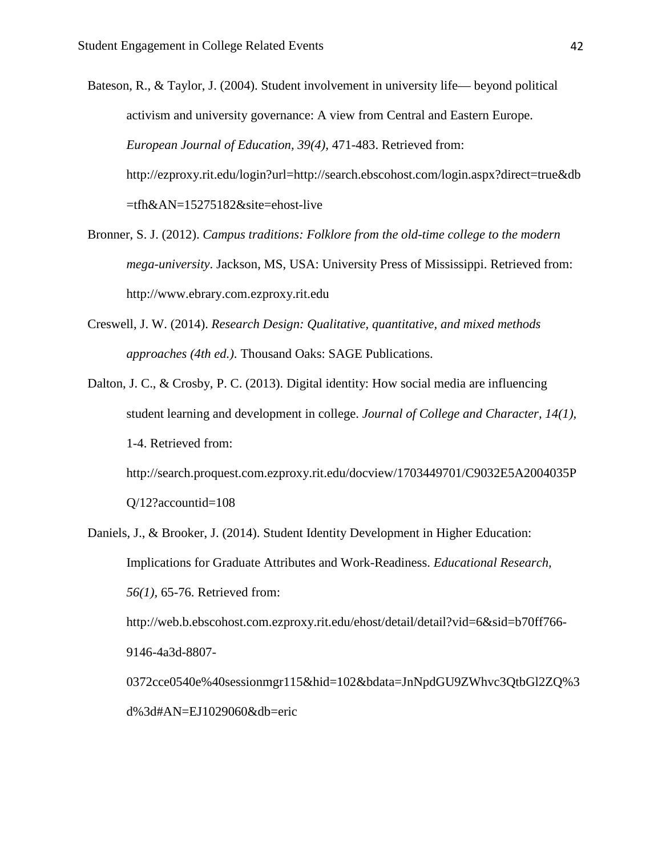Bateson, R., & Taylor, J. (2004). Student involvement in university life— beyond political activism and university governance: A view from Central and Eastern Europe. *European Journal of Education, 39(4),* 471-483. Retrieved from: http://ezproxy.rit.edu/login?url=http://search.ebscohost.com/login.aspx?direct=true&db =tfh&AN=15275182&site=ehost-live

- Bronner, S. J. (2012). *Campus traditions: Folklore from the old-time college to the modern mega-university*. Jackson, MS, USA: University Press of Mississippi. Retrieved from: http://www.ebrary.com.ezproxy.rit.edu
- Creswell, J. W. (2014). *Research Design: Qualitative, quantitative, and mixed methods approaches (4th ed.)*. Thousand Oaks: SAGE Publications.
- Dalton, J. C., & Crosby, P. C. (2013). Digital identity: How social media are influencing student learning and development in college. *Journal of College and Character, 14(1),* 1-4. Retrieved from:

http://search.proquest.com.ezproxy.rit.edu/docview/1703449701/C9032E5A2004035P Q/12?accountid=108

Daniels, J., & Brooker, J. (2014). Student Identity Development in Higher Education: Implications for Graduate Attributes and Work-Readiness. *Educational Research, 56(1),* 65-76. Retrieved from:

http://web.b.ebscohost.com.ezproxy.rit.edu/ehost/detail/detail?vid=6&sid=b70ff766- 9146-4a3d-8807-

0372cce0540e%40sessionmgr115&hid=102&bdata=JnNpdGU9ZWhvc3QtbGl2ZQ%3 d%3d#AN=EJ1029060&db=eric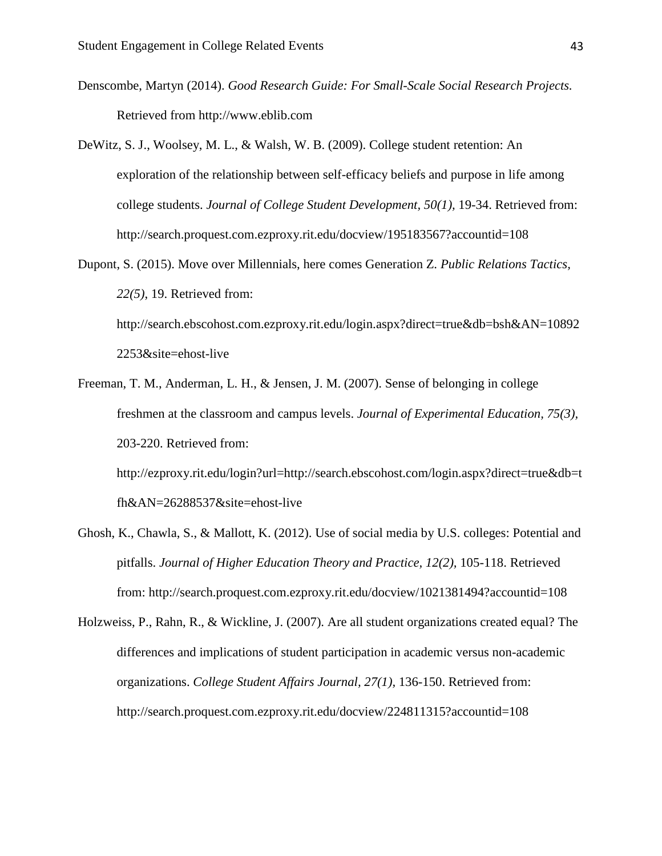- Denscombe, Martyn (2014). *Good Research Guide: For Small-Scale Social Research Projects.* Retrieved from http://www.eblib.com
- DeWitz, S. J., Woolsey, M. L., & Walsh, W. B. (2009). College student retention: An exploration of the relationship between self-efficacy beliefs and purpose in life among college students. *Journal of College Student Development, 50(1),* 19-34. Retrieved from: http://search.proquest.com.ezproxy.rit.edu/docview/195183567?accountid=108
- Dupont, S. (2015). Move over Millennials, here comes Generation Z. *Public Relations Tactics, 22(5)*, 19. Retrieved from: http://search.ebscohost.com.ezproxy.rit.edu/login.aspx?direct=true&db=bsh&AN=10892 2253&site=ehost-live
- Freeman, T. M., Anderman, L. H., & Jensen, J. M. (2007). Sense of belonging in college freshmen at the classroom and campus levels. *Journal of Experimental Education, 75(3),* 203-220. Retrieved from: http://ezproxy.rit.edu/login?url=http://search.ebscohost.com/login.aspx?direct=true&db=t

fh&AN=26288537&site=ehost-live

- Ghosh, K., Chawla, S., & Mallott, K. (2012). Use of social media by U.S. colleges: Potential and pitfalls. *Journal of Higher Education Theory and Practice, 12(2),* 105-118. Retrieved from: http://search.proquest.com.ezproxy.rit.edu/docview/1021381494?accountid=108
- Holzweiss, P., Rahn, R., & Wickline, J. (2007). Are all student organizations created equal? The differences and implications of student participation in academic versus non-academic organizations. *College Student Affairs Journal, 27(1),* 136-150. Retrieved from: http://search.proquest.com.ezproxy.rit.edu/docview/224811315?accountid=108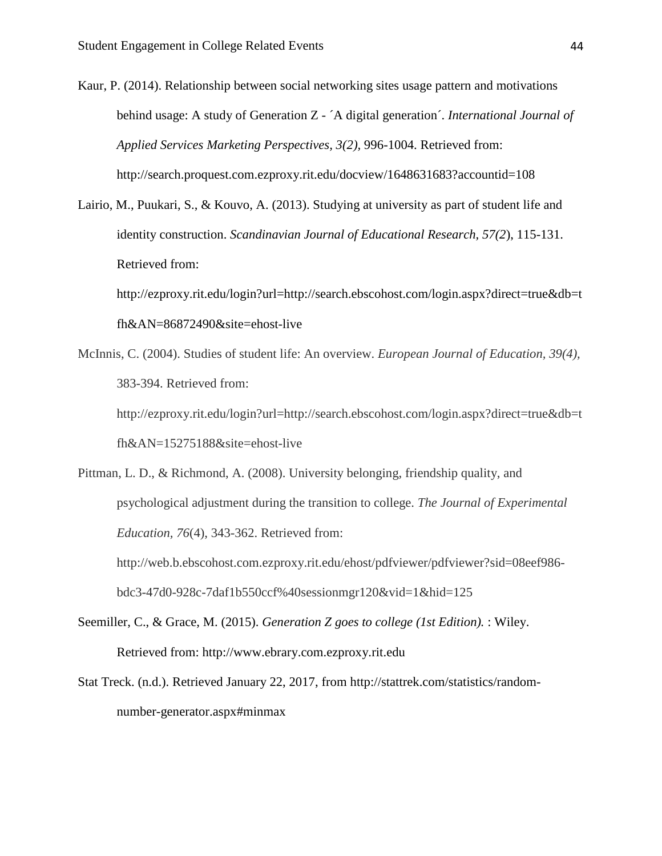Kaur, P. (2014). Relationship between social networking sites usage pattern and motivations behind usage: A study of Generation Z - ´A digital generation´. *International Journal of Applied Services Marketing Perspectives, 3(2),* 996-1004. Retrieved from: http://search.proquest.com.ezproxy.rit.edu/docview/1648631683?accountid=108

Lairio, M., Puukari, S., & Kouvo, A. (2013). Studying at university as part of student life and identity construction. *Scandinavian Journal of Educational Research, 57(2*), 115-131. Retrieved from:

http://ezproxy.rit.edu/login?url=http://search.ebscohost.com/login.aspx?direct=true&db=t fh&AN=86872490&site=ehost-live

McInnis, C. (2004). Studies of student life: An overview. *European Journal of Education, 39(4),* 383-394. Retrieved from: http://ezproxy.rit.edu/login?url=http://search.ebscohost.com/login.aspx?direct=true&db=t fh&AN=15275188&site=ehost-live

Pittman, L. D., & Richmond, A. (2008). University belonging, friendship quality, and psychological adjustment during the transition to college. *The Journal of Experimental Education, 76*(4), 343-362. Retrieved from: http://web.b.ebscohost.com.ezproxy.rit.edu/ehost/pdfviewer/pdfviewer?sid=08eef986 bdc3-47d0-928c-7daf1b550ccf%40sessionmgr120&vid=1&hid=125

Seemiller, C., & Grace, M. (2015). *Generation Z goes to college (1st Edition).* : Wiley. Retrieved from: http://www.ebrary.com.ezproxy.rit.edu

Stat Treck. (n.d.). Retrieved January 22, 2017, from http://stattrek.com/statistics/randomnumber-generator.aspx#minmax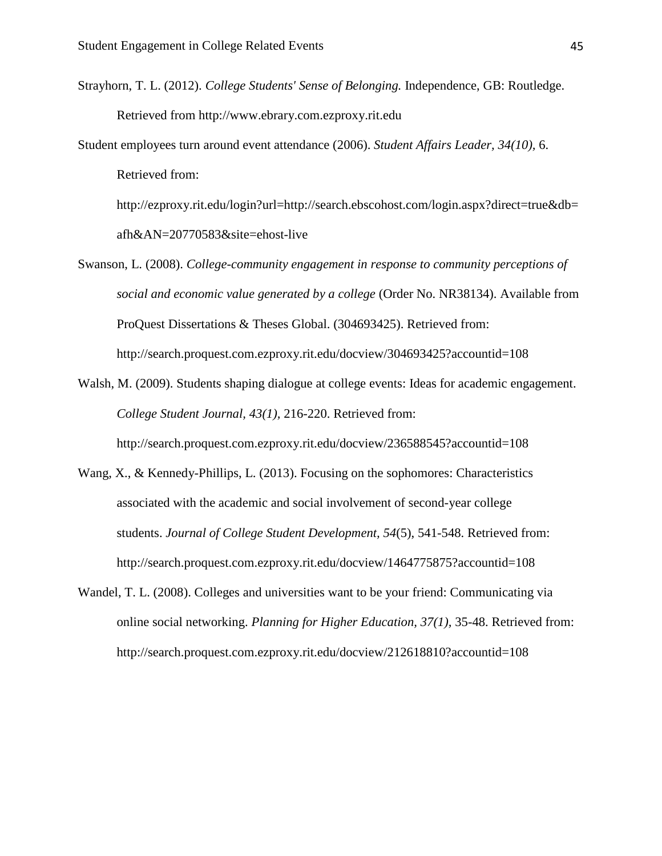Strayhorn, T. L. (2012). *College Students' Sense of Belonging.* Independence, GB: Routledge. Retrieved from http://www.ebrary.com.ezproxy.rit.edu

Student employees turn around event attendance (2006). *Student Affairs Leader, 34(10),* 6. Retrieved from:

http://ezproxy.rit.edu/login?url=http://search.ebscohost.com/login.aspx?direct=true&db= afh&AN=20770583&site=ehost-live

- Swanson, L. (2008). *College-community engagement in response to community perceptions of social and economic value generated by a college* (Order No. NR38134). Available from ProQuest Dissertations & Theses Global. (304693425). Retrieved from: http://search.proquest.com.ezproxy.rit.edu/docview/304693425?accountid=108
- Walsh, M. (2009). Students shaping dialogue at college events: Ideas for academic engagement. *College Student Journal, 43(1),* 216-220. Retrieved from: http://search.proquest.com.ezproxy.rit.edu/docview/236588545?accountid=108
- Wang, X., & Kennedy-Phillips, L. (2013). Focusing on the sophomores: Characteristics associated with the academic and social involvement of second-year college students. *Journal of College Student Development, 54*(5), 541-548. Retrieved from: http://search.proquest.com.ezproxy.rit.edu/docview/1464775875?accountid=108
- Wandel, T. L. (2008). Colleges and universities want to be your friend: Communicating via online social networking. *Planning for Higher Education, 37(1),* 35-48. Retrieved from: http://search.proquest.com.ezproxy.rit.edu/docview/212618810?accountid=108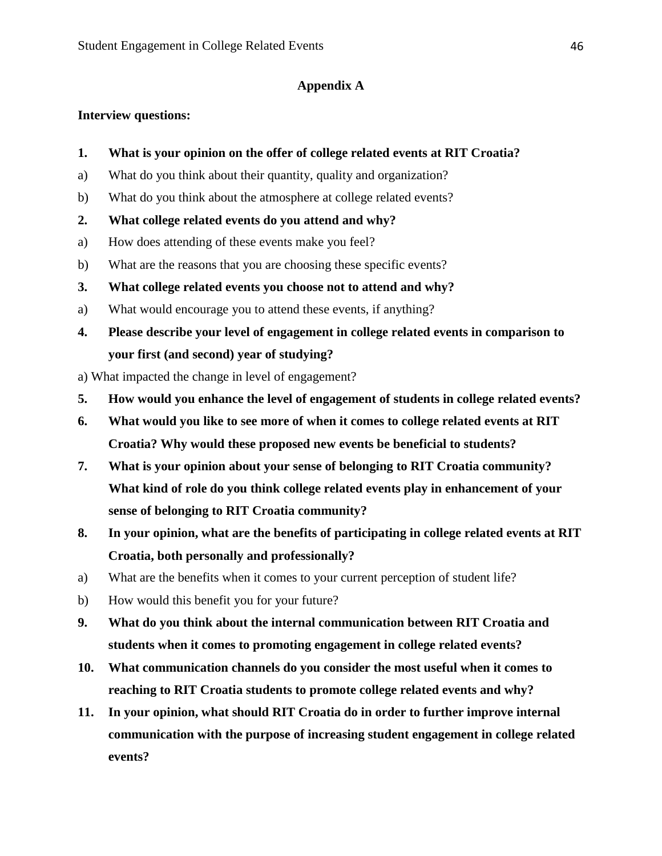#### **Appendix A**

#### **Interview questions:**

- **1. What is your opinion on the offer of college related events at RIT Croatia?**
- a) What do you think about their quantity, quality and organization?
- b) What do you think about the atmosphere at college related events?
- **2. What college related events do you attend and why?**
- a) How does attending of these events make you feel?
- b) What are the reasons that you are choosing these specific events?
- **3. What college related events you choose not to attend and why?**
- a) What would encourage you to attend these events, if anything?
- **4. Please describe your level of engagement in college related events in comparison to your first (and second) year of studying?**
- a) What impacted the change in level of engagement?
- **5. How would you enhance the level of engagement of students in college related events?**
- **6. What would you like to see more of when it comes to college related events at RIT Croatia? Why would these proposed new events be beneficial to students?**
- **7. What is your opinion about your sense of belonging to RIT Croatia community? What kind of role do you think college related events play in enhancement of your sense of belonging to RIT Croatia community?**
- **8. In your opinion, what are the benefits of participating in college related events at RIT Croatia, both personally and professionally?**
- a) What are the benefits when it comes to your current perception of student life?
- b) How would this benefit you for your future?
- **9. What do you think about the internal communication between RIT Croatia and students when it comes to promoting engagement in college related events?**
- **10. What communication channels do you consider the most useful when it comes to reaching to RIT Croatia students to promote college related events and why?**
- **11. In your opinion, what should RIT Croatia do in order to further improve internal communication with the purpose of increasing student engagement in college related events?**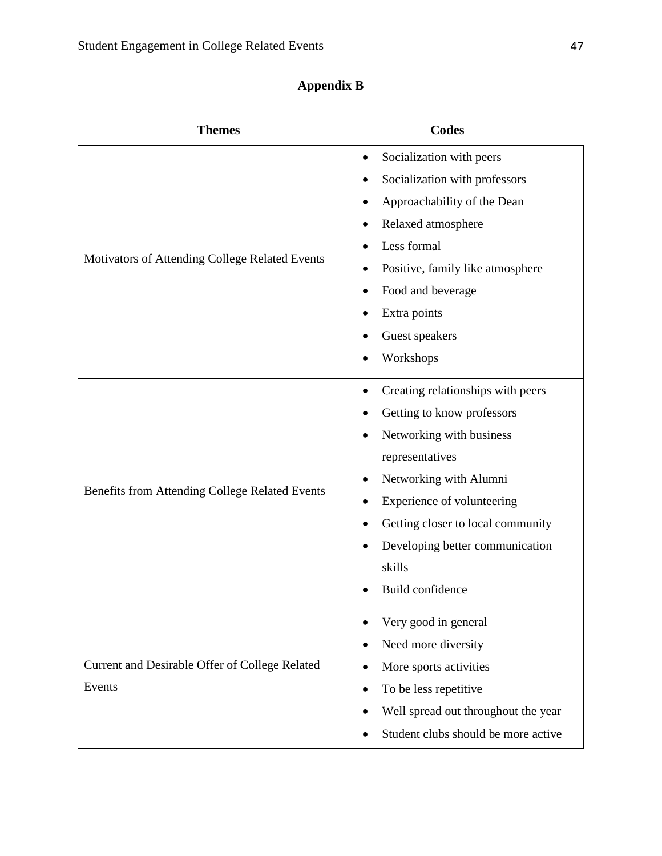### **Appendix B**

| <b>Themes</b>                                            | <b>Codes</b>                                   |
|----------------------------------------------------------|------------------------------------------------|
| Motivators of Attending College Related Events           | Socialization with peers<br>$\bullet$          |
|                                                          | Socialization with professors                  |
|                                                          | Approachability of the Dean                    |
|                                                          | Relaxed atmosphere                             |
|                                                          | Less formal                                    |
|                                                          | Positive, family like atmosphere               |
|                                                          | Food and beverage                              |
|                                                          | Extra points                                   |
|                                                          | Guest speakers                                 |
|                                                          | Workshops                                      |
| Benefits from Attending College Related Events           | Creating relationships with peers              |
|                                                          | Getting to know professors                     |
|                                                          | Networking with business                       |
|                                                          | representatives                                |
|                                                          | Networking with Alumni                         |
|                                                          | Experience of volunteering                     |
|                                                          | Getting closer to local community<br>$\bullet$ |
|                                                          | Developing better communication                |
|                                                          | skills                                         |
|                                                          | Build confidence                               |
|                                                          | Very good in general                           |
| Current and Desirable Offer of College Related<br>Events | Need more diversity                            |
|                                                          | More sports activities                         |
|                                                          | To be less repetitive                          |
|                                                          | Well spread out throughout the year            |
|                                                          | Student clubs should be more active            |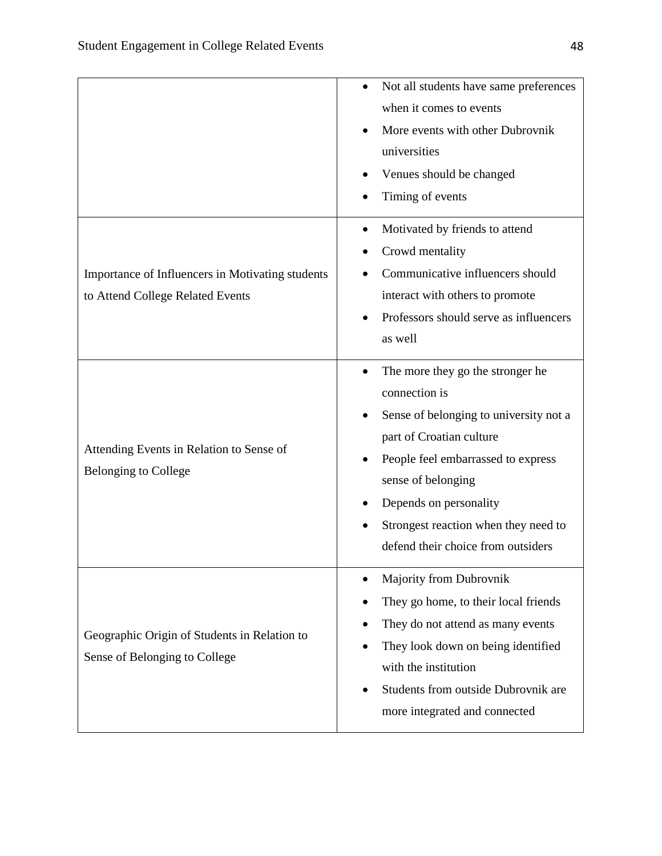|                                                                                      | Not all students have same preferences<br>when it comes to events<br>More events with other Dubrovnik<br>universities<br>Venues should be changed<br>Timing of events                                                                                                                                                              |
|--------------------------------------------------------------------------------------|------------------------------------------------------------------------------------------------------------------------------------------------------------------------------------------------------------------------------------------------------------------------------------------------------------------------------------|
| Importance of Influencers in Motivating students<br>to Attend College Related Events | Motivated by friends to attend<br>$\bullet$<br>Crowd mentality<br>Communicative influencers should<br>interact with others to promote<br>Professors should serve as influencers<br>as well                                                                                                                                         |
| Attending Events in Relation to Sense of<br><b>Belonging to College</b>              | The more they go the stronger he<br>$\bullet$<br>connection is<br>Sense of belonging to university not a<br>$\bullet$<br>part of Croatian culture<br>People feel embarrassed to express<br>$\bullet$<br>sense of belonging<br>Depends on personality<br>Strongest reaction when they need to<br>defend their choice from outsiders |
| Geographic Origin of Students in Relation to<br>Sense of Belonging to College        | <b>Majority from Dubrovnik</b><br>They go home, to their local friends<br>They do not attend as many events<br>They look down on being identified<br>with the institution<br>Students from outside Dubrovnik are<br>more integrated and connected                                                                                  |